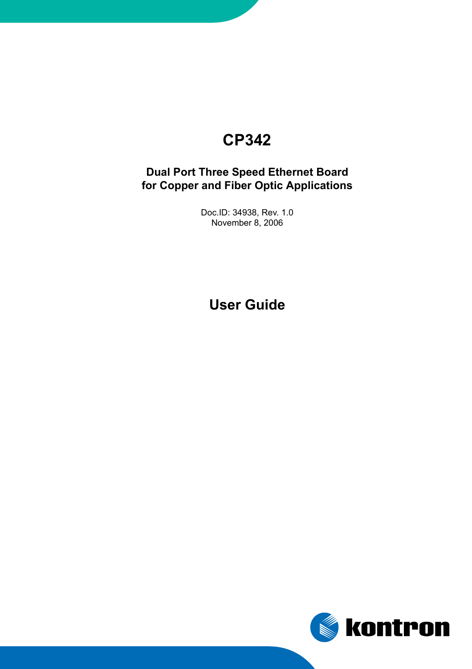# **CP342**

## **Dual Port Three Speed Ethernet Board for Copper and Fiber Optic Applications**

Doc.ID: 34938, Rev. 1.0 November 8, 2006

# **User Guide**

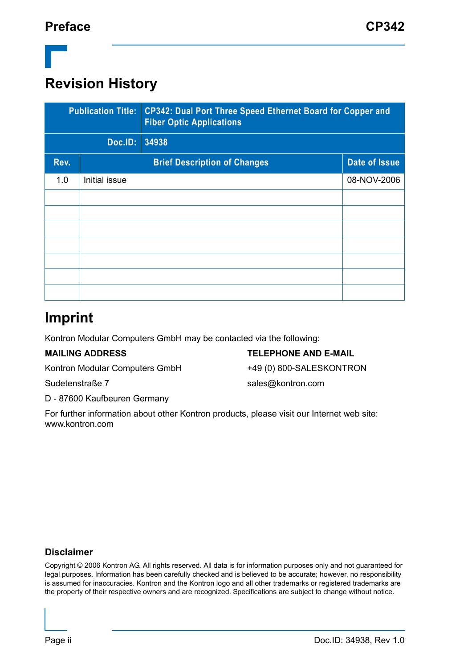# <span id="page-1-0"></span>**Revision History**

| <b>Publication Title:</b> |               | <b>CP342: Dual Port Three Speed Ethernet Board for Copper and</b><br><b>Fiber Optic Applications</b> |                      |
|---------------------------|---------------|------------------------------------------------------------------------------------------------------|----------------------|
| Doc.ID:                   |               | 34938                                                                                                |                      |
| Rev.                      |               | <b>Brief Description of Changes</b>                                                                  | <b>Date of Issue</b> |
| 1.0                       | Initial issue |                                                                                                      | 08-NOV-2006          |
|                           |               |                                                                                                      |                      |
|                           |               |                                                                                                      |                      |
|                           |               |                                                                                                      |                      |
|                           |               |                                                                                                      |                      |
|                           |               |                                                                                                      |                      |
|                           |               |                                                                                                      |                      |
|                           |               |                                                                                                      |                      |

# <span id="page-1-1"></span>**Imprint**

Kontron Modular Computers GmbH may be contacted via the following:

Kontron Modular Computers GmbH +49 (0) 800-SALESKONTRON

D - 87600 Kaufbeuren Germany

**MAILING ADDRESS TELEPHONE AND E-MAIL** 

Sudetenstraße 7 sales@kontron.com

For further information about other Kontron products, please visit our Internet web site: www.kontron.com

#### <span id="page-1-2"></span>**Disclaimer**

Copyright © 2006 Kontron AG. All rights reserved. All data is for information purposes only and not guaranteed for legal purposes. Information has been carefully checked and is believed to be accurate; however, no responsibility is assumed for inaccuracies. Kontron and the Kontron logo and all other trademarks or registered trademarks are the property of their respective owners and are recognized. Specifications are subject to change without notice.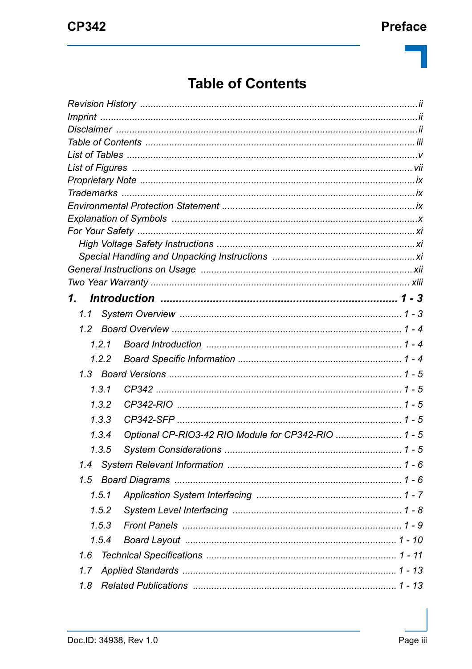# **Table of Contents**

<span id="page-2-0"></span>

| 1.    |                                                     |  |
|-------|-----------------------------------------------------|--|
| 1.1   |                                                     |  |
| 1.2   |                                                     |  |
| 1.2.1 |                                                     |  |
| 1.2.2 |                                                     |  |
|       |                                                     |  |
| 1.3.1 |                                                     |  |
|       |                                                     |  |
| 1.3.2 |                                                     |  |
| 1.3.3 |                                                     |  |
| 1.3.4 | Optional CP-RIO3-42 RIO Module for CP342-RIO  1 - 5 |  |
| 1.3.5 | System Considerations.                              |  |
| 1.4   |                                                     |  |
| 1.5   |                                                     |  |
| 1.5.1 |                                                     |  |
| 1.5.2 |                                                     |  |
| 1.5.3 |                                                     |  |
| 1.5.4 |                                                     |  |
| 1.6   |                                                     |  |
| 1.7   |                                                     |  |
| 1.8   |                                                     |  |
|       |                                                     |  |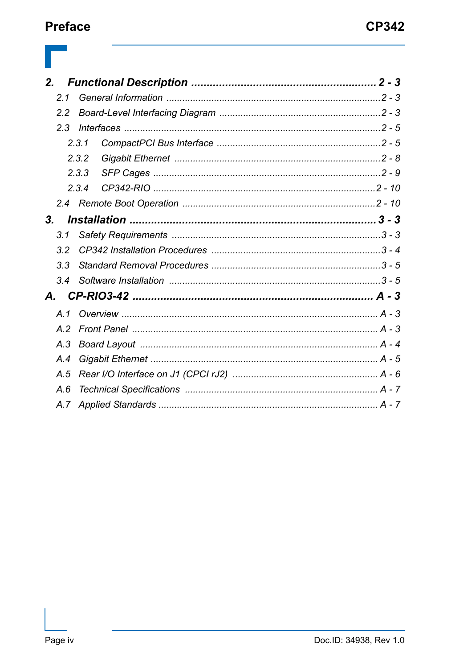# **Preface**

 $\overline{\mathbb{I}}$ 

| 2.             |     |       |  |
|----------------|-----|-------|--|
|                | 2.1 |       |  |
|                | 2.2 |       |  |
|                | 2.3 |       |  |
|                |     | 2.3.1 |  |
|                |     | 2.3.2 |  |
|                |     | 2.3.3 |  |
|                |     | 2.3.4 |  |
|                |     |       |  |
| 3 <sub>1</sub> |     |       |  |
|                | 3.1 |       |  |
|                | 3.2 |       |  |
|                | 3.3 |       |  |
|                | 3.4 |       |  |
|                | Α.  |       |  |
|                | A.1 |       |  |
|                | A.2 |       |  |
|                | A.3 |       |  |
|                | A.4 |       |  |
|                | A.5 |       |  |
|                | A.6 |       |  |
|                | A.7 |       |  |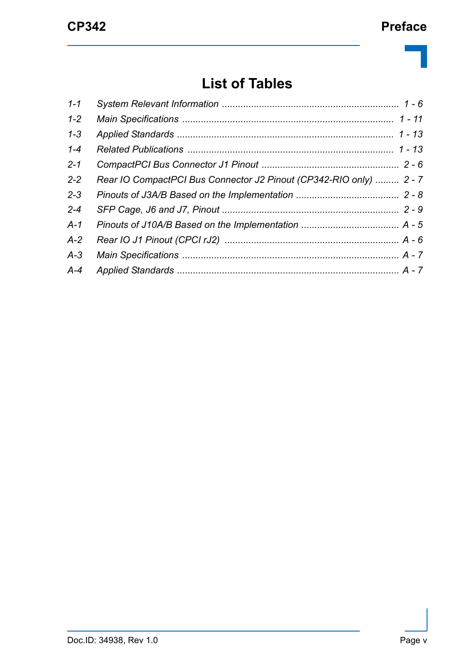# **List of Tables**

<span id="page-4-0"></span>

| $1 - 1$ |                                                                    |
|---------|--------------------------------------------------------------------|
| $1 - 2$ |                                                                    |
| $1 - 3$ |                                                                    |
| $1 - 4$ |                                                                    |
| $2 - 1$ |                                                                    |
| $2 - 2$ | Rear IO CompactPCI Bus Connector J2 Pinout (CP342-RIO only)  2 - 7 |
| $2 - 3$ |                                                                    |
| $2 - 4$ |                                                                    |
| $A-1$   |                                                                    |
| $A-2$   |                                                                    |
| $A-3$   |                                                                    |
| A-4     |                                                                    |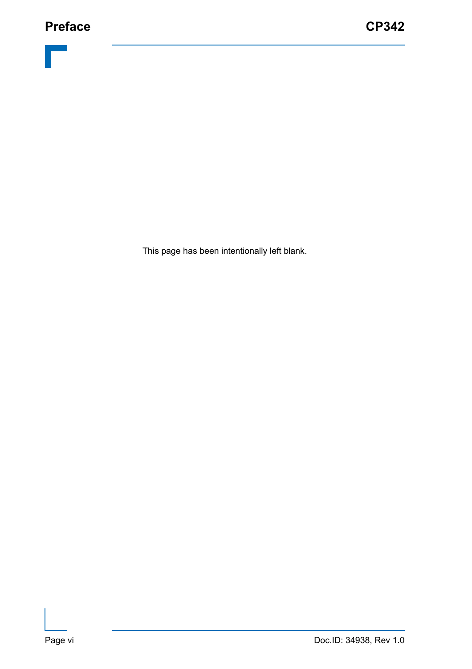# Preface **CP342**

This page has been intentionally left blank.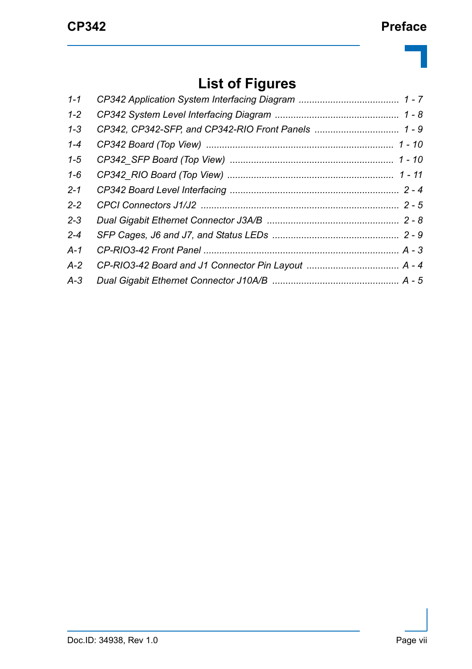# **List of Figures**

<span id="page-6-0"></span>

| $1 - 1$ |  |
|---------|--|
| $1 - 2$ |  |
| $1 - 3$ |  |
| $1 - 4$ |  |
| $1 - 5$ |  |
| $1 - 6$ |  |
| $2 - 1$ |  |
| $2 - 2$ |  |
| $2 - 3$ |  |
| $2 - 4$ |  |
| A-1     |  |
| A-2     |  |
| A-3     |  |
|         |  |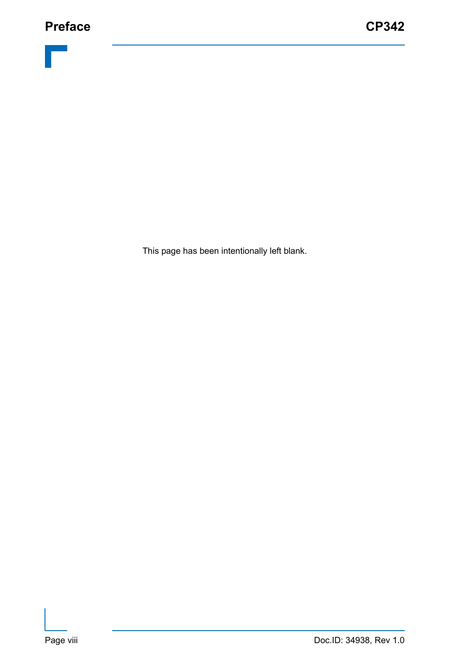# Preface **CP342**

This page has been intentionally left blank.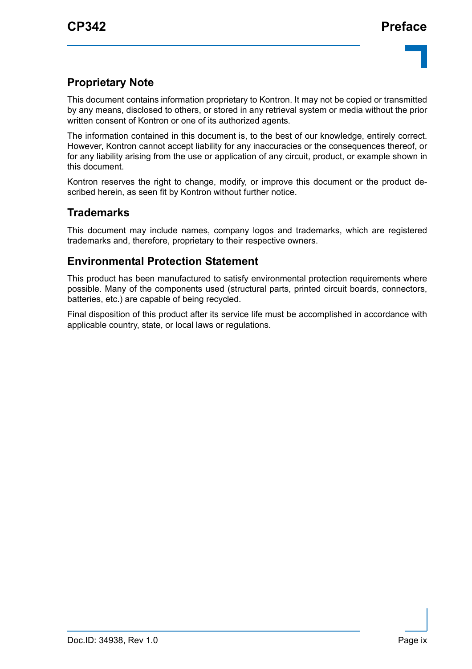

# <span id="page-8-0"></span>**Proprietary Note**

This document contains information proprietary to Kontron. It may not be copied or transmitted by any means, disclosed to others, or stored in any retrieval system or media without the prior written consent of Kontron or one of its authorized agents.

The information contained in this document is, to the best of our knowledge, entirely correct. However, Kontron cannot accept liability for any inaccuracies or the consequences thereof, or for any liability arising from the use or application of any circuit, product, or example shown in this document.

Kontron reserves the right to change, modify, or improve this document or the product described herein, as seen fit by Kontron without further notice.

#### <span id="page-8-1"></span>**Trademarks**

This document may include names, company logos and trademarks, which are registered trademarks and, therefore, proprietary to their respective owners.

#### <span id="page-8-2"></span>**Environmental Protection Statement**

This product has been manufactured to satisfy environmental protection requirements where possible. Many of the components used (structural parts, printed circuit boards, connectors, batteries, etc.) are capable of being recycled.

Final disposition of this product after its service life must be accomplished in accordance with applicable country, state, or local laws or regulations.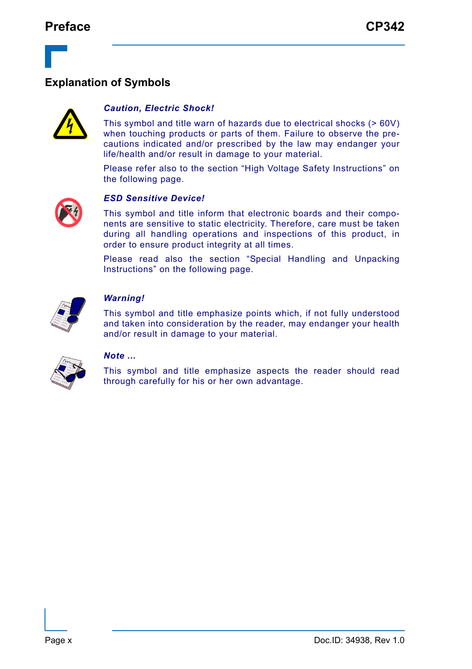

## <span id="page-9-0"></span>**Explanation of Symbols**



#### *Caution, Electric Shock!*

This symbol and title warn of hazards due to electrical shocks (> 60V) when touching products or parts of them. Failure to observe the precautions indicated and/or prescribed by the law may endanger your life/health and/or result in damage to your material.

Please refer also to the section "High Voltage Safety Instructions" on the following page.



#### *ESD Sensitive Device!*

This symbol and title inform that electronic boards and their components are sensitive to static electricity. Therefore, care must be taken during all handling operations and inspections of this product, in order to ensure product integrity at all times.

Please read also the section "Special Handling and Unpacking Instructions" on the following page.



#### *Warning!*

This symbol and title emphasize points which, if not fully understood and taken into consideration by the reader, may endanger your health and/or result in damage to your material.



#### *Note ...*

This symbol and title emphasize aspects the reader should read through carefully for his or her own advantage.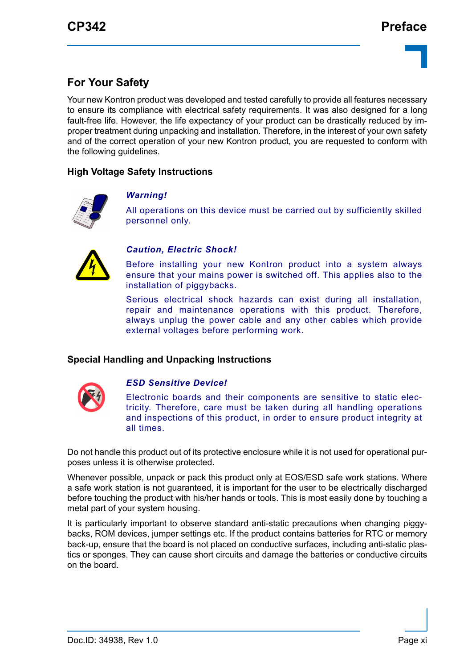

## <span id="page-10-0"></span>**For Your Safety**

Your new Kontron product was developed and tested carefully to provide all features necessary to ensure its compliance with electrical safety requirements. It was also designed for a long fault-free life. However, the life expectancy of your product can be drastically reduced by improper treatment during unpacking and installation. Therefore, in the interest of your own safety and of the correct operation of your new Kontron product, you are requested to conform with the following guidelines.

#### <span id="page-10-1"></span>**High Voltage Safety Instructions**



#### *Warning!*

All operations on this device must be carried out by sufficiently skilled personnel only.



#### *Caution, Electric Shock!*

Before installing your new Kontron product into a system always ensure that your mains power is switched off. This applies also to the installation of piggybacks.

Serious electrical shock hazards can exist during all installation, repair and maintenance operations with this product. Therefore, always unplug the power cable and any other cables which provide external voltages before performing work.

#### <span id="page-10-2"></span>**Special Handling and Unpacking Instructions**



#### *ESD Sensitive Device!*

Electronic boards and their components are sensitive to static electricity. Therefore, care must be taken during all handling operations and inspections of this product, in order to ensure product integrity at all times.

Do not handle this product out of its protective enclosure while it is not used for operational purposes unless it is otherwise protected.

Whenever possible, unpack or pack this product only at EOS/ESD safe work stations. Where a safe work station is not guaranteed, it is important for the user to be electrically discharged before touching the product with his/her hands or tools. This is most easily done by touching a metal part of your system housing.

It is particularly important to observe standard anti-static precautions when changing piggybacks, ROM devices, jumper settings etc. If the product contains batteries for RTC or memory back-up, ensure that the board is not placed on conductive surfaces, including anti-static plastics or sponges. They can cause short circuits and damage the batteries or conductive circuits on the board.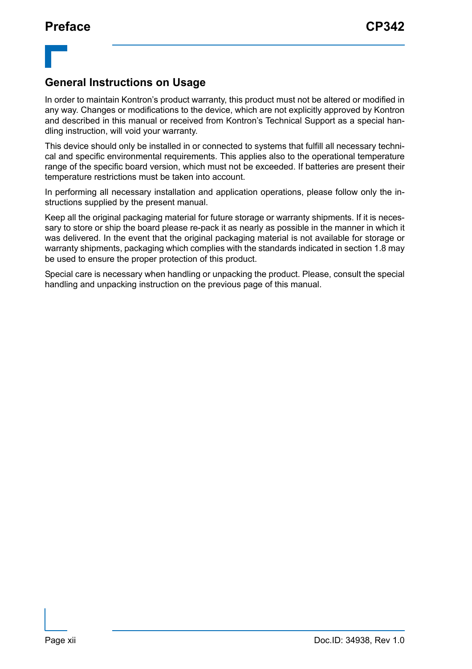### <span id="page-11-0"></span>**General Instructions on Usage**

In order to maintain Kontron's product warranty, this product must not be altered or modified in any way. Changes or modifications to the device, which are not explicitly approved by Kontron and described in this manual or received from Kontron's Technical Support as a special handling instruction, will void your warranty.

This device should only be installed in or connected to systems that fulfill all necessary technical and specific environmental requirements. This applies also to the operational temperature range of the specific board version, which must not be exceeded. If batteries are present their temperature restrictions must be taken into account.

In performing all necessary installation and application operations, please follow only the instructions supplied by the present manual.

Keep all the original packaging material for future storage or warranty shipments. If it is necessary to store or ship the board please re-pack it as nearly as possible in the manner in which it was delivered. In the event that the original packaging material is not available for storage or warranty shipments, packaging which complies with the standards indicated in section 1.8 may be used to ensure the proper protection of this product.

Special care is necessary when handling or unpacking the product. Please, consult the special handling and unpacking instruction on the previous page of this manual.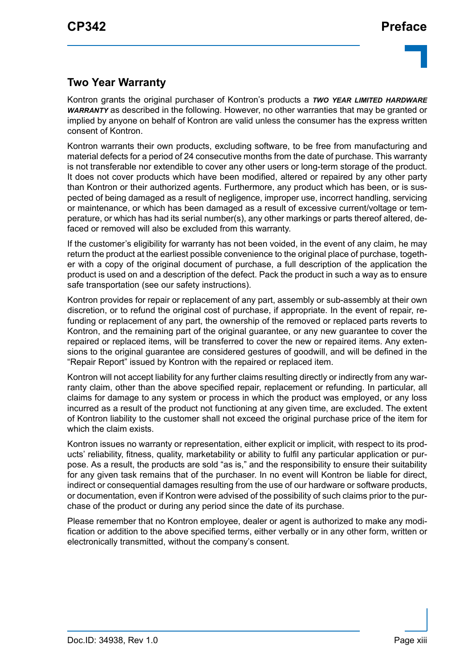

#### <span id="page-12-0"></span>**Two Year Warranty**

Kontron grants the original purchaser of Kontronís products a *TWO YEAR LIMITED HARDWARE WARRANTY* as described in the following. However, no other warranties that may be granted or implied by anyone on behalf of Kontron are valid unless the consumer has the express written consent of Kontron.

Kontron warrants their own products, excluding software, to be free from manufacturing and material defects for a period of 24 consecutive months from the date of purchase. This warranty is not transferable nor extendible to cover any other users or long-term storage of the product. It does not cover products which have been modified, altered or repaired by any other party than Kontron or their authorized agents. Furthermore, any product which has been, or is suspected of being damaged as a result of negligence, improper use, incorrect handling, servicing or maintenance, or which has been damaged as a result of excessive current/voltage or temperature, or which has had its serial number(s), any other markings or parts thereof altered, defaced or removed will also be excluded from this warranty.

If the customer's eligibility for warranty has not been voided, in the event of any claim, he may return the product at the earliest possible convenience to the original place of purchase, together with a copy of the original document of purchase, a full description of the application the product is used on and a description of the defect. Pack the product in such a way as to ensure safe transportation (see our safety instructions).

Kontron provides for repair or replacement of any part, assembly or sub-assembly at their own discretion, or to refund the original cost of purchase, if appropriate. In the event of repair, refunding or replacement of any part, the ownership of the removed or replaced parts reverts to Kontron, and the remaining part of the original guarantee, or any new guarantee to cover the repaired or replaced items, will be transferred to cover the new or repaired items. Any extensions to the original guarantee are considered gestures of goodwill, and will be defined in the "Repair Report" issued by Kontron with the repaired or replaced item.

Kontron will not accept liability for any further claims resulting directly or indirectly from any warranty claim, other than the above specified repair, replacement or refunding. In particular, all claims for damage to any system or process in which the product was employed, or any loss incurred as a result of the product not functioning at any given time, are excluded. The extent of Kontron liability to the customer shall not exceed the original purchase price of the item for which the claim exists.

Kontron issues no warranty or representation, either explicit or implicit, with respect to its products' reliability, fitness, quality, marketability or ability to fulfil any particular application or purpose. As a result, the products are sold "as is," and the responsibility to ensure their suitability for any given task remains that of the purchaser. In no event will Kontron be liable for direct, indirect or consequential damages resulting from the use of our hardware or software products, or documentation, even if Kontron were advised of the possibility of such claims prior to the purchase of the product or during any period since the date of its purchase.

Please remember that no Kontron employee, dealer or agent is authorized to make any modification or addition to the above specified terms, either verbally or in any other form, written or electronically transmitted, without the company's consent.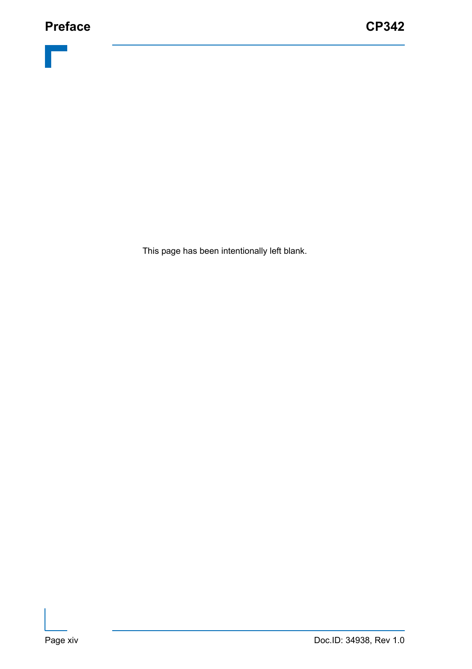# Preface **CP342**

This page has been intentionally left blank.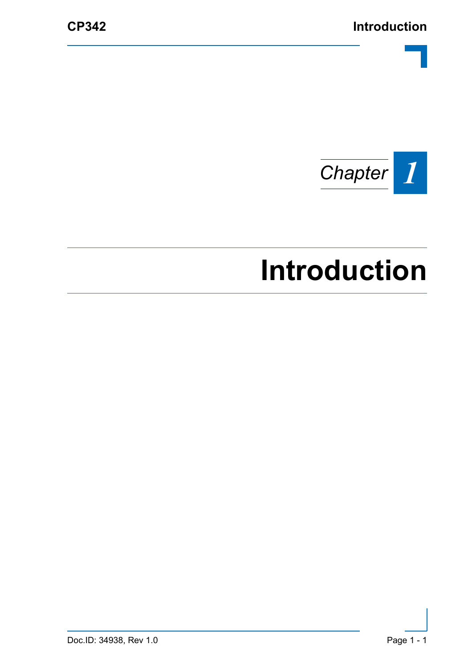

# **Introduction**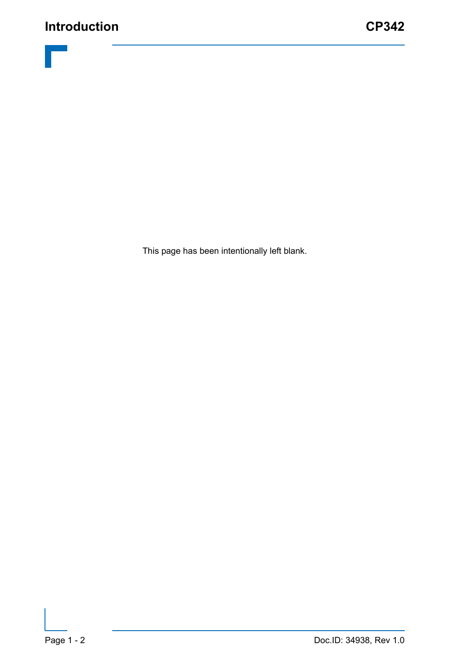

This page has been intentionally left blank.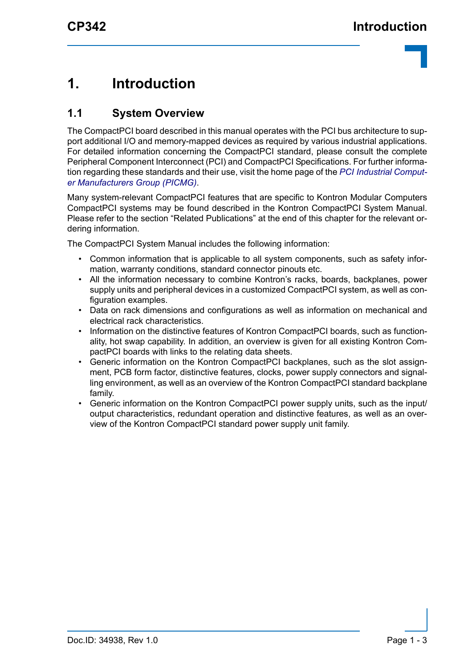# <span id="page-16-0"></span>**1. Introduction**

#### <span id="page-16-1"></span>**1.1 System Overview**

The CompactPCI board described in this manual operates with the PCI bus architecture to support additional I/O and memory-mapped devices as required by various industrial applications. For detailed information concerning the CompactPCI standard, please consult the complete Peripheral Component Interconnect (PCI) and CompactPCI Specifications. For further information regarding these standards and their use, visit the home page of the *PCI Industrial Computer Manufacturers Group (PICMG)*.

Many system-relevant CompactPCI features that are specific to Kontron Modular Computers CompactPCI systems may be found described in the Kontron CompactPCI System Manual. Please refer to the section "Related Publications" at the end of this chapter for the relevant ordering information.

The CompactPCI System Manual includes the following information:

- Common information that is applicable to all system components, such as safety information, warranty conditions, standard connector pinouts etc.
- All the information necessary to combine Kontron's racks, boards, backplanes, power supply units and peripheral devices in a customized CompactPCI system, as well as configuration examples.
- Data on rack dimensions and configurations as well as information on mechanical and electrical rack characteristics.
- Information on the distinctive features of Kontron CompactPCI boards, such as functionality, hot swap capability. In addition, an overview is given for all existing Kontron CompactPCI boards with links to the relating data sheets.
- Generic information on the Kontron CompactPCI backplanes, such as the slot assignment, PCB form factor, distinctive features, clocks, power supply connectors and signalling environment, as well as an overview of the Kontron CompactPCI standard backplane family.
- Generic information on the Kontron CompactPCI power supply units, such as the input/ output characteristics, redundant operation and distinctive features, as well as an overview of the Kontron CompactPCI standard power supply unit family.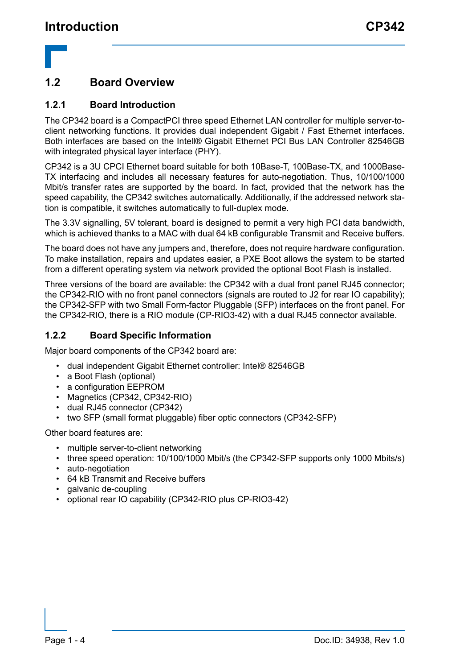# <span id="page-17-0"></span>**1.2 Board Overview**

#### <span id="page-17-1"></span>**1.2.1 Board Introduction**

The CP342 board is a CompactPCI three speed Ethernet LAN controller for multiple server-toclient networking functions. It provides dual independent Gigabit / Fast Ethernet interfaces. Both interfaces are based on the Intell® Gigabit Ethernet PCI Bus LAN Controller 82546GB with integrated physical layer interface (PHY).

CP342 is a 3U CPCI Ethernet board suitable for both 10Base-T, 100Base-TX, and 1000Base-TX interfacing and includes all necessary features for auto-negotiation. Thus, 10/100/1000 Mbit/s transfer rates are supported by the board. In fact, provided that the network has the speed capability, the CP342 switches automatically. Additionally, if the addressed network station is compatible, it switches automatically to full-duplex mode.

The 3.3V signalling, 5V tolerant, board is designed to permit a very high PCI data bandwidth, which is achieved thanks to a MAC with dual 64 kB configurable Transmit and Receive buffers.

The board does not have any jumpers and, therefore, does not require hardware configuration. To make installation, repairs and updates easier, a PXE Boot allows the system to be started from a different operating system via network provided the optional Boot Flash is installed.

Three versions of the board are available: the CP342 with a dual front panel RJ45 connector; the CP342-RIO with no front panel connectors (signals are routed to J2 for rear IO capability); the CP342-SFP with two Small Form-factor Pluggable (SFP) interfaces on the front panel. For the CP342-RIO, there is a RIO module (CP-RIO3-42) with a dual RJ45 connector available.

#### <span id="page-17-2"></span>**1.2.2 Board Specific Information**

Major board components of the CP342 board are:

- dual independent Gigabit Ethernet controller: Intel® 82546GB
- a Boot Flash (optional)
- a configuration EEPROM
- Magnetics (CP342, CP342-RIO)
- dual RJ45 connector (CP342)
- two SFP (small format pluggable) fiber optic connectors (CP342-SFP)

Other board features are:

- multiple server-to-client networking
- three speed operation: 10/100/1000 Mbit/s (the CP342-SFP supports only 1000 Mbits/s)
- auto-negotiation
- 64 kB Transmit and Receive buffers
- galvanic de-coupling
- optional rear IO capability (CP342-RIO plus CP-RIO3-42)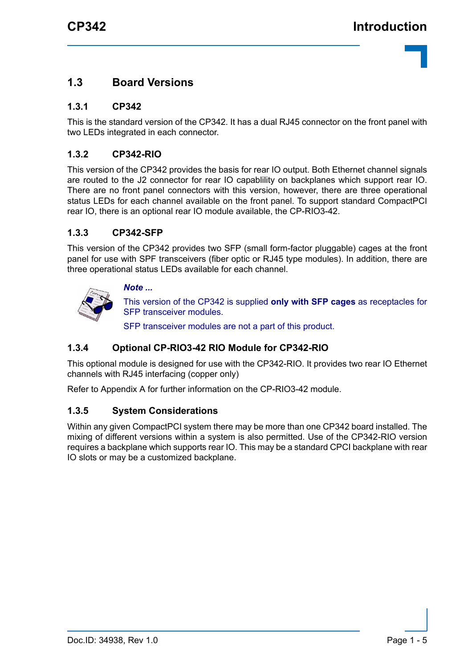### <span id="page-18-0"></span>**1.3 Board Versions**

#### <span id="page-18-1"></span>**1.3.1 CP342**

This is the standard version of the CP342. It has a dual RJ45 connector on the front panel with two LEDs integrated in each connector.

#### <span id="page-18-2"></span>**1.3.2 CP342-RIO**

This version of the CP342 provides the basis for rear IO output. Both Ethernet channel signals are routed to the J2 connector for rear IO capablility on backplanes which support rear IO. There are no front panel connectors with this version, however, there are three operational status LEDs for each channel available on the front panel. To support standard CompactPCI rear IO, there is an optional rear IO module available, the CP-RIO3-42.

#### <span id="page-18-3"></span>**1.3.3 CP342-SFP**

This version of the CP342 provides two SFP (small form-factor pluggable) cages at the front panel for use with SPF transceivers (fiber optic or RJ45 type modules). In addition, there are three operational status LEDs available for each channel.



#### *Note ...*

This version of the CP342 is supplied **only with SFP cages** as receptacles for SFP transceiver modules.

SFP transceiver modules are not a part of this product.

#### <span id="page-18-4"></span>**1.3.4 Optional CP-RIO3-42 RIO Module for CP342-RIO**

This optional module is designed for use with the CP342-RIO. It provides two rear IO Ethernet channels with RJ45 interfacing (copper only)

Refer to Appendix A for further information on the CP-RIO3-42 module.

#### <span id="page-18-5"></span>**1.3.5 System Considerations**

Within any given CompactPCI system there may be more than one CP342 board installed. The mixing of different versions within a system is also permitted. Use of the CP342-RIO version requires a backplane which supports rear IO. This may be a standard CPCI backplane with rear IO slots or may be a customized backplane.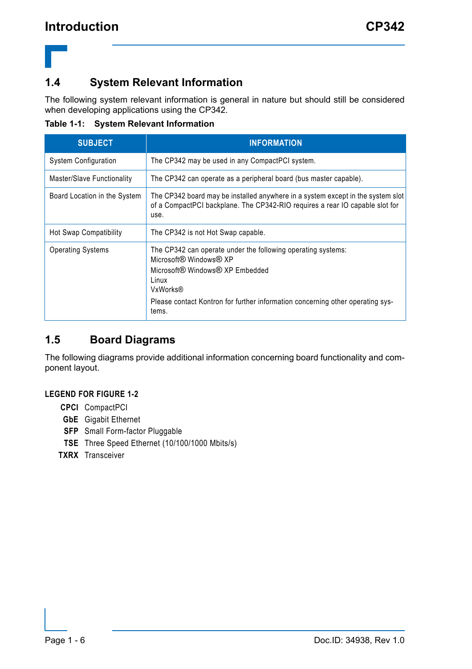## <span id="page-19-0"></span>**1.4 System Relevant Information**

The following system relevant information is general in nature but should still be considered when developing applications using the CP342.

<span id="page-19-2"></span>**Table 1-1: System Relevant Information**

| <b>SUBJECT</b>               | <b>INFORMATION</b>                                                                                                                                                                                                                        |
|------------------------------|-------------------------------------------------------------------------------------------------------------------------------------------------------------------------------------------------------------------------------------------|
| <b>System Configuration</b>  | The CP342 may be used in any CompactPCI system.                                                                                                                                                                                           |
| Master/Slave Functionality   | The CP342 can operate as a peripheral board (bus master capable).                                                                                                                                                                         |
| Board Location in the System | The CP342 board may be installed anywhere in a system except in the system slot<br>of a CompactPCI backplane. The CP342-RIO requires a rear IO capable slot for<br>use.                                                                   |
| Hot Swap Compatibility       | The CP342 is not Hot Swap capable.                                                                                                                                                                                                        |
| <b>Operating Systems</b>     | The CP342 can operate under the following operating systems:<br>Microsoft® Windows® XP<br>Microsoft® Windows® XP Embedded<br>Linux<br>VxWorks®<br>Please contact Kontron for further information concerning other operating sys-<br>tems. |

### <span id="page-19-1"></span>**1.5 Board Diagrams**

The following diagrams provide additional information concerning board functionality and component layout.

#### **LEGEND FOR FIGURE 1-2**

- **CPCI** CompactPCI
- **GbE** Gigabit Ethernet
- **SFP** Small Form-factor Pluggable
- **TSE** Three Speed Ethernet (10/100/1000 Mbits/s)
- **TXRX** Transceiver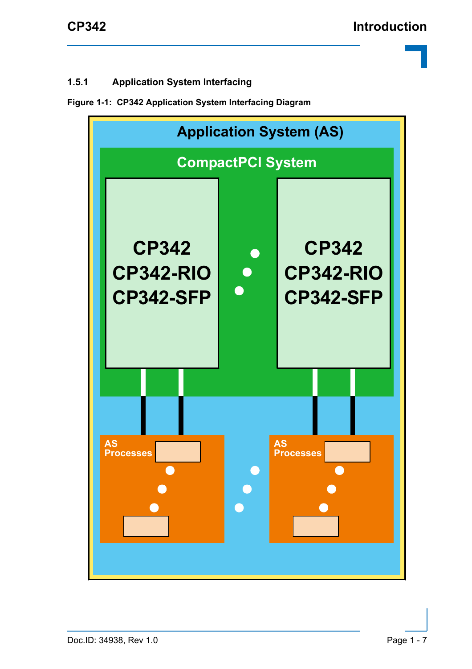

#### <span id="page-20-0"></span>**1.5.1 Application System Interfacing**

<span id="page-20-1"></span>**Figure 1-1: CP342 Application System Interfacing Diagram**

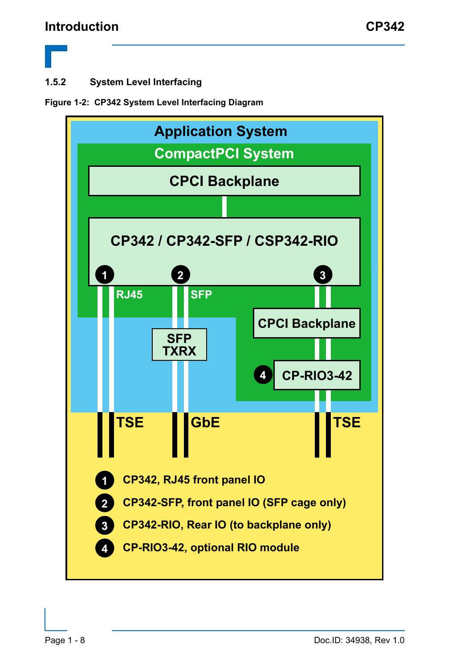#### <span id="page-21-0"></span>**1.5.2 System Level Interfacing**

<span id="page-21-1"></span>

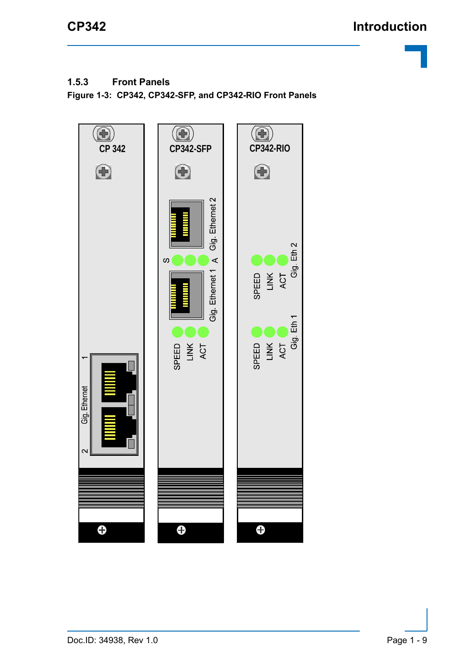

#### <span id="page-22-0"></span>**1.5.3 Front Panels**

<span id="page-22-1"></span>**Figure 1-3: CP342, CP342-SFP, and CP342-RIO Front Panels**

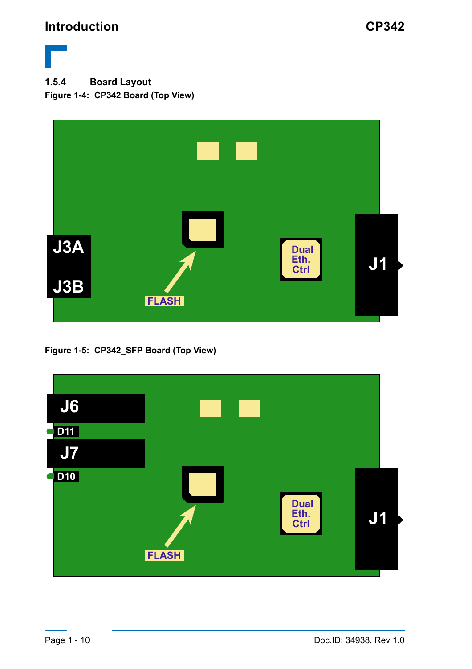<span id="page-23-1"></span><span id="page-23-0"></span>**1.5.4 Board Layout Figure 1-4: CP342 Board (Top View)**



<span id="page-23-2"></span>**Figure 1-5: CP342\_SFP Board (Top View)**

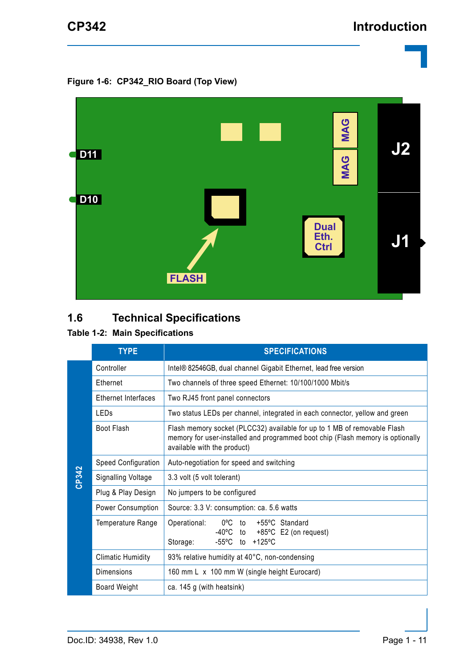

#### <span id="page-24-2"></span>**Figure 1-6: CP342\_RIO Board (Top View)**



## <span id="page-24-0"></span>**1.6 Technical Specifications**

#### <span id="page-24-1"></span>**Table 1-2: Main Specifications**

|       | <b>TYPE</b>                | <b>SPECIFICATIONS</b>                                                                                                                                                                     |  |
|-------|----------------------------|-------------------------------------------------------------------------------------------------------------------------------------------------------------------------------------------|--|
|       | Controller                 | Intel® 82546GB, dual channel Gigabit Ethernet, lead free version                                                                                                                          |  |
|       | Ethernet                   | Two channels of three speed Ethernet: 10/100/1000 Mbit/s                                                                                                                                  |  |
|       | <b>Ethernet Interfaces</b> | Two RJ45 front panel connectors                                                                                                                                                           |  |
|       | <b>LEDs</b>                | Two status LEDs per channel, integrated in each connector, yellow and green                                                                                                               |  |
|       | <b>Boot Flash</b>          | Flash memory socket (PLCC32) available for up to 1 MB of removable Flash<br>memory for user-installed and programmed boot chip (Flash memory is optionally<br>available with the product) |  |
|       | Speed Configuration        | Auto-negotiation for speed and switching                                                                                                                                                  |  |
| CP342 | Signalling Voltage         | 3.3 volt (5 volt tolerant)                                                                                                                                                                |  |
|       | Plug & Play Design         | No jumpers to be configured                                                                                                                                                               |  |
|       | Power Consumption          | Source: 3.3 V: consumption: ca. 5.6 watts                                                                                                                                                 |  |
|       | Temperature Range          | Operational:<br>0°C to +55°C Standard<br>-40 $^{\circ}$ C to +85 $^{\circ}$ C E2 (on request)<br>$-55^{\circ}$ C to $+125^{\circ}$ C<br>Storage:                                          |  |
|       | <b>Climatic Humidity</b>   | 93% relative humidity at 40°C, non-condensing                                                                                                                                             |  |
|       | Dimensions                 | 160 mm L x 100 mm W (single height Eurocard)                                                                                                                                              |  |
|       | <b>Board Weight</b>        | ca. 145 g (with heatsink)                                                                                                                                                                 |  |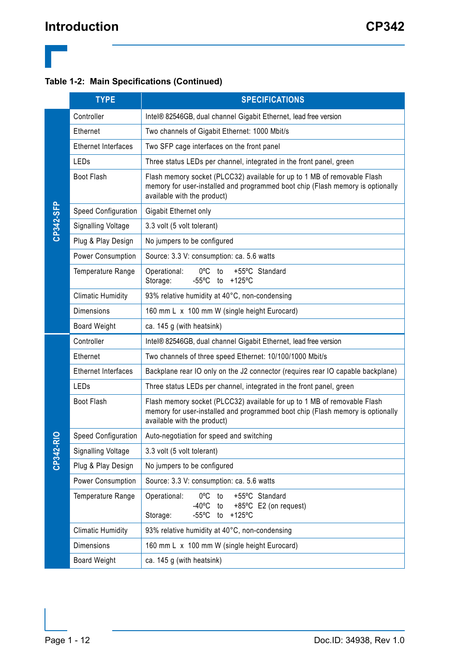#### **Table 1-2: Main Specifications (Continued)**

|                  | <b>TYPE</b>                | <b>SPECIFICATIONS</b>                                                                                                                                                                     |  |  |
|------------------|----------------------------|-------------------------------------------------------------------------------------------------------------------------------------------------------------------------------------------|--|--|
|                  | Controller                 | Intel® 82546GB, dual channel Gigabit Ethernet, lead free version                                                                                                                          |  |  |
|                  | Ethernet                   | Two channels of Gigabit Ethernet: 1000 Mbit/s                                                                                                                                             |  |  |
|                  | <b>Ethernet Interfaces</b> | Two SFP cage interfaces on the front panel                                                                                                                                                |  |  |
|                  | <b>LEDs</b>                | Three status LEDs per channel, integrated in the front panel, green                                                                                                                       |  |  |
|                  | <b>Boot Flash</b>          | Flash memory socket (PLCC32) available for up to 1 MB of removable Flash<br>memory for user-installed and programmed boot chip (Flash memory is optionally<br>available with the product) |  |  |
|                  | Speed Configuration        | Gigabit Ethernet only                                                                                                                                                                     |  |  |
| CP342-SFP        | <b>Signalling Voltage</b>  | 3.3 volt (5 volt tolerant)                                                                                                                                                                |  |  |
|                  | Plug & Play Design         | No jumpers to be configured                                                                                                                                                               |  |  |
|                  | Power Consumption          | Source: 3.3 V: consumption: ca. 5.6 watts                                                                                                                                                 |  |  |
|                  | Temperature Range          | Operational:<br>0°C to<br>+55°C Standard<br>-55°C to +125°C<br>Storage:                                                                                                                   |  |  |
|                  | <b>Climatic Humidity</b>   | 93% relative humidity at 40°C, non-condensing                                                                                                                                             |  |  |
|                  | <b>Dimensions</b>          | 160 mm L x 100 mm W (single height Eurocard)                                                                                                                                              |  |  |
|                  | <b>Board Weight</b>        | ca. 145 g (with heatsink)                                                                                                                                                                 |  |  |
|                  | Controller                 | Intel® 82546GB, dual channel Gigabit Ethernet, lead free version                                                                                                                          |  |  |
|                  | Ethernet                   | Two channels of three speed Ethernet: 10/100/1000 Mbit/s                                                                                                                                  |  |  |
|                  | <b>Ethernet Interfaces</b> | Backplane rear IO only on the J2 connector (requires rear IO capable backplane)                                                                                                           |  |  |
|                  | LEDs                       | Three status LEDs per channel, integrated in the front panel, green                                                                                                                       |  |  |
|                  | <b>Boot Flash</b>          | Flash memory socket (PLCC32) available for up to 1 MB of removable Flash<br>memory for user-installed and programmed boot chip (Flash memory is optionally<br>available with the product) |  |  |
|                  | <b>Speed Configuration</b> | Auto-negotiation for speed and switching                                                                                                                                                  |  |  |
| <b>CP342-RIO</b> | Signalling Voltage         | 3.3 volt (5 volt tolerant)                                                                                                                                                                |  |  |
|                  | Plug & Play Design         | No jumpers to be configured                                                                                                                                                               |  |  |
|                  | Power Consumption          | Source: 3.3 V: consumption: ca. 5.6 watts                                                                                                                                                 |  |  |
|                  | Temperature Range          | +55°C Standard<br>Operational:<br>0°C<br>to<br>$-40^{\circ}$ C<br>+85°C E2 (on request)<br>to<br>Storage:<br>$+125^{\circ}$ C<br>-55°C to                                                 |  |  |
|                  | <b>Climatic Humidity</b>   | 93% relative humidity at 40°C, non-condensing                                                                                                                                             |  |  |
|                  | Dimensions                 | 160 mm L x 100 mm W (single height Eurocard)                                                                                                                                              |  |  |
|                  | <b>Board Weight</b>        | ca. 145 g (with heatsink)                                                                                                                                                                 |  |  |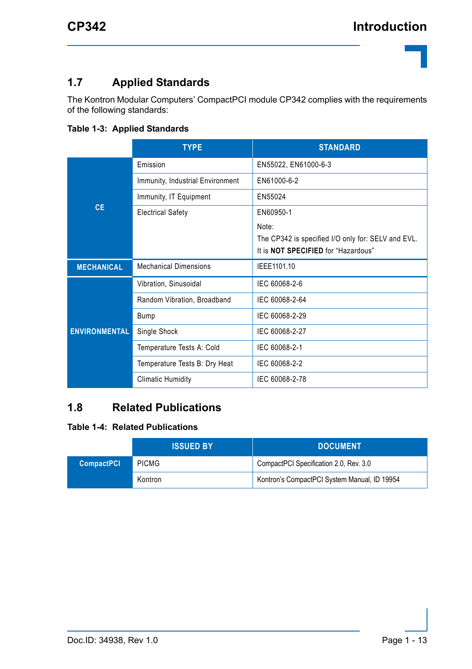<span id="page-26-0"></span>

The Kontron Modular Computers' CompactPCI module CP342 complies with the requirements of the following standards:

<span id="page-26-2"></span>

|                      | <b>TYPE</b>                      | <b>STANDARD</b>                                    |
|----------------------|----------------------------------|----------------------------------------------------|
|                      | Emission                         | EN55022, EN61000-6-3                               |
|                      | Immunity, Industrial Environment | EN61000-6-2                                        |
|                      | Immunity, IT Equipment           | EN55024                                            |
| <b>CE</b>            | <b>Electrical Safety</b>         | EN60950-1                                          |
|                      |                                  | Note:                                              |
|                      |                                  | The CP342 is specified I/O only for: SELV and EVL. |
|                      |                                  | It is NOT SPECIFIED for "Hazardous"                |
| <b>MECHANICAL</b>    | <b>Mechanical Dimensions</b>     | IEEE1101.10                                        |
|                      | Vibration, Sinusoidal            | IEC 60068-2-6                                      |
|                      | Random Vibration, Broadband      | IEC 60068-2-64                                     |
|                      | <b>Bump</b>                      | IEC 60068-2-29                                     |
| <b>ENVIRONMENTAL</b> | Single Shock                     | IEC 60068-2-27                                     |
|                      | Temperature Tests A: Cold        | IEC 60068-2-1                                      |
|                      | Temperature Tests B: Dry Heat    | IEC 60068-2-2                                      |
|                      | <b>Climatic Humidity</b>         | IEC 60068-2-78                                     |

## <span id="page-26-1"></span>**1.8 Related Publications**

#### <span id="page-26-3"></span>**Table 1-4: Related Publications**

|                   | <b>ISSUED BY</b> | <b>DOCUMENT</b>                              |
|-------------------|------------------|----------------------------------------------|
| <b>CompactPCI</b> | <b>PICMG</b>     | CompactPCI Specification 2.0, Rev. 3.0       |
|                   | Kontron          | Kontron's CompactPCI System Manual, ID 19954 |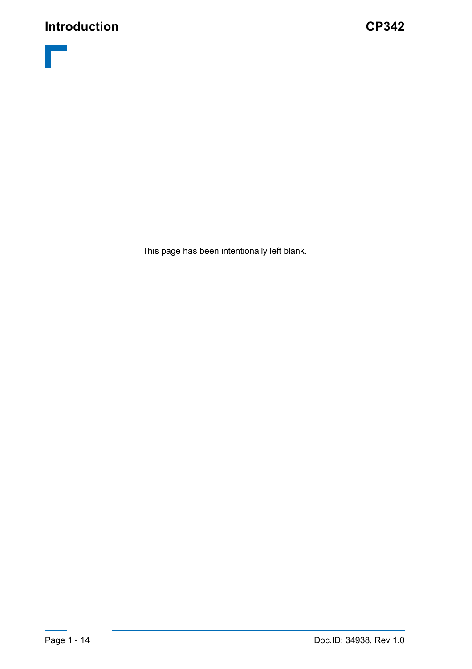

This page has been intentionally left blank.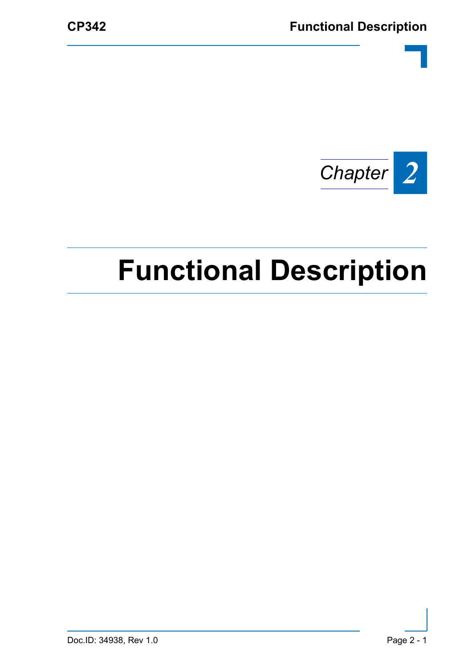

# **Functional Description**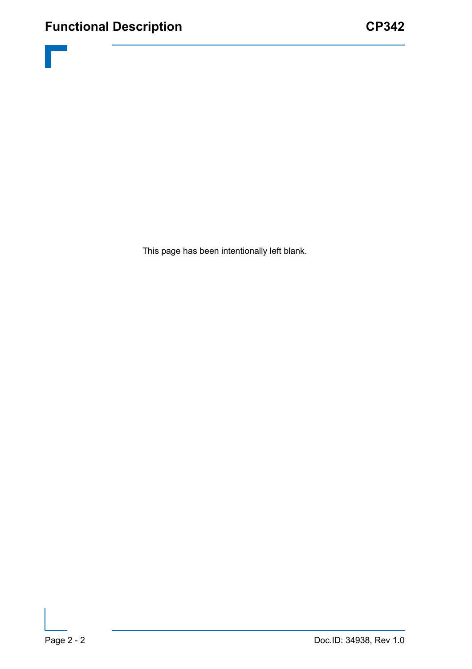

This page has been intentionally left blank.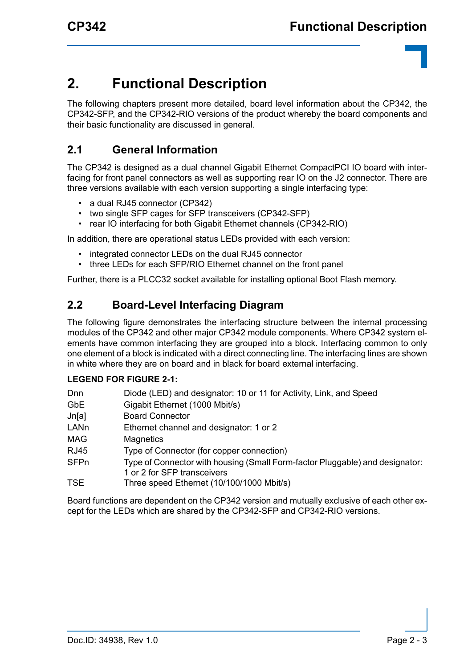# <span id="page-30-0"></span>**2. Functional Description**

The following chapters present more detailed, board level information about the CP342, the CP342-SFP, and the CP342-RIO versions of the product whereby the board components and their basic functionality are discussed in general.

### <span id="page-30-1"></span>**2.1 General Information**

The CP342 is designed as a dual channel Gigabit Ethernet CompactPCI IO board with interfacing for front panel connectors as well as supporting rear IO on the J2 connector. There are three versions available with each version supporting a single interfacing type:

- a dual RJ45 connector (CP342)
- two single SFP cages for SFP transceivers (CP342-SFP)
- rear IO interfacing for both Gigabit Ethernet channels (CP342-RIO)

In addition, there are operational status LEDs provided with each version:

- integrated connector LEDs on the dual RJ45 connector
- three LEDs for each SFP/RIO Ethernet channel on the front panel

Further, there is a PLCC32 socket available for installing optional Boot Flash memory.

#### <span id="page-30-2"></span>**2.2 Board-Level Interfacing Diagram**

The following figure demonstrates the interfacing structure between the internal processing modules of the CP342 and other major CP342 module components. Where CP342 system elements have common interfacing they are grouped into a block. Interfacing common to only one element of a block is indicated with a direct connecting line. The interfacing lines are shown in white where they are on board and in black for board external interfacing.

#### **LEGEND FOR FIGURE 2-1:**

| Dnn         | Diode (LED) and designator: 10 or 11 for Activity, Link, and Speed                                          |
|-------------|-------------------------------------------------------------------------------------------------------------|
| GbE         | Gigabit Ethernet (1000 Mbit/s)                                                                              |
| Jn[a]       | <b>Board Connector</b>                                                                                      |
| LANn        | Ethernet channel and designator: 1 or 2                                                                     |
| MAG         | <b>Magnetics</b>                                                                                            |
| <b>RJ45</b> | Type of Connector (for copper connection)                                                                   |
| <b>SFPn</b> | Type of Connector with housing (Small Form-factor Pluggable) and designator:<br>1 or 2 for SFP transceivers |
| TSE.        | Three speed Ethernet (10/100/1000 Mbit/s)                                                                   |

Board functions are dependent on the CP342 version and mutually exclusive of each other except for the LEDs which are shared by the CP342-SFP and CP342-RIO versions.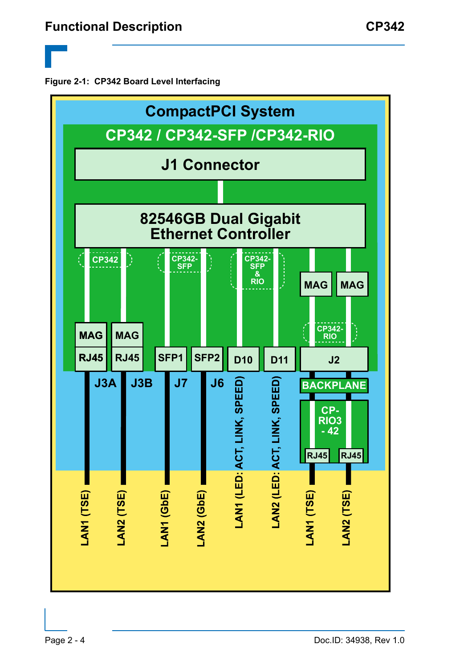<span id="page-31-0"></span>

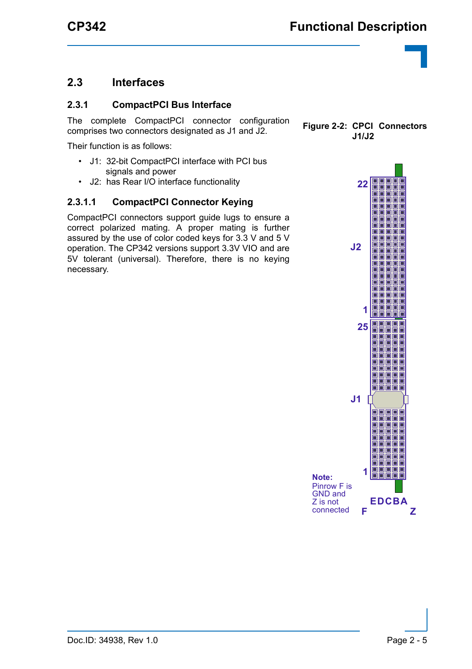#### <span id="page-32-0"></span>**2.3 Interfaces**

#### <span id="page-32-1"></span>**2.3.1 CompactPCI Bus Interface**

The complete CompactPCI connector configuration comprises two connectors designated as J1 and J2.

Their function is as follows:

- J1: 32-bit CompactPCI interface with PCI bus signals and power
- J2: has Rear I/O interface functionality

#### **2.3.1.1 CompactPCI Connector Keying**

CompactPCI connectors support guide lugs to ensure a correct polarized mating. A proper mating is further assured by the use of color coded keys for 3.3 V and 5 V operation. The CP342 versions support 3.3V VIO and are 5V tolerant (universal). Therefore, there is no keying necessary.

<span id="page-32-2"></span>**Figure 2-2: CPCI Connectors J1/J2**

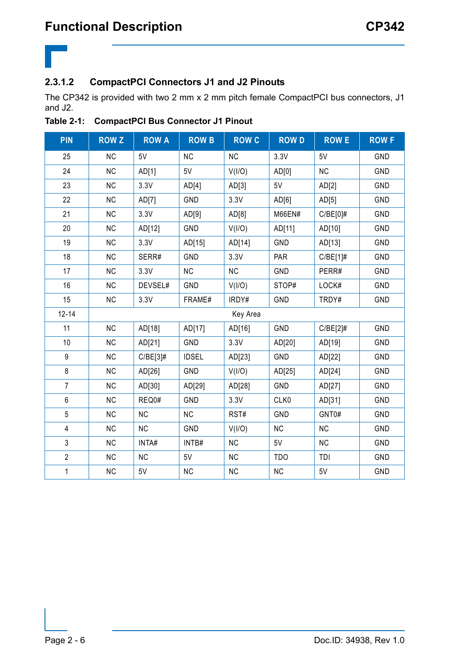#### **2.3.1.2 CompactPCI Connectors J1 and J2 Pinouts**

The CP342 is provided with two 2 mm x 2 mm pitch female CompactPCI bus connectors, J1 and J2.

| <b>PIN</b>     | <b>ROW Z</b> | <b>ROW A</b> | <b>ROW B</b> | <b>ROW C</b> | <b>ROWD</b>     | <b>ROW E</b> | <b>ROWF</b> |
|----------------|--------------|--------------|--------------|--------------|-----------------|--------------|-------------|
| 25             | <b>NC</b>    | 5V           | <b>NC</b>    | <b>NC</b>    | 3.3V            | 5V           | <b>GND</b>  |
| 24             | <b>NC</b>    | AD[1]        | 5V           | V(1/O)       | AD[0]           | <b>NC</b>    | <b>GND</b>  |
| 23             | <b>NC</b>    | 3.3V         | AD[4]        | AD[3]        | 5V              | AD[2]        | <b>GND</b>  |
| 22             | <b>NC</b>    | AD[7]        | <b>GND</b>   | 3.3V         | AD[6]           | AD[5]        | <b>GND</b>  |
| 21             | <b>NC</b>    | 3.3V         | AD[9]        | AD[8]        | M66EN#          | $C/BE[0]\#$  | <b>GND</b>  |
| 20             | <b>NC</b>    | AD[12]       | <b>GND</b>   | V(1/O)       | AD[11]          | AD[10]       | <b>GND</b>  |
| 19             | <b>NC</b>    | 3.3V         | AD[15]       | AD[14]       | <b>GND</b>      | AD[13]       | <b>GND</b>  |
| 18             | <b>NC</b>    | SERR#        | <b>GND</b>   | 3.3V         | <b>PAR</b>      | $C/BE[1]\#$  | <b>GND</b>  |
| 17             | <b>NC</b>    | 3.3V         | <b>NC</b>    | <b>NC</b>    | <b>GND</b>      | PERR#        | <b>GND</b>  |
| 16             | <b>NC</b>    | DEVSEL#      | <b>GND</b>   | V(1/O)       | STOP#           | LOCK#        | <b>GND</b>  |
| 15             | <b>NC</b>    | 3.3V         | FRAME#       | IRDY#        | <b>GND</b>      | TRDY#        | <b>GND</b>  |
| $12 - 14$      |              |              |              | Key Area     |                 |              |             |
| 11             | <b>NC</b>    | AD[18]       | AD[17]       | AD[16]       | <b>GND</b>      | $C/BE[2]\#$  | <b>GND</b>  |
| 10             | <b>NC</b>    | AD[21]       | <b>GND</b>   | 3.3V         | AD[20]          | AD[19]       | <b>GND</b>  |
| 9              | <b>NC</b>    | $C/BE[3]$ #  | <b>IDSEL</b> | AD[23]       | <b>GND</b>      | AD[22]       | <b>GND</b>  |
| 8              | <b>NC</b>    | AD[26]       | <b>GND</b>   | V(1/O)       | AD[25]          | AD[24]       | <b>GND</b>  |
| $\overline{7}$ | <b>NC</b>    | AD[30]       | AD[29]       | AD[28]       | <b>GND</b>      | AD[27]       | <b>GND</b>  |
| $6\phantom{1}$ | <b>NC</b>    | REQ0#        | <b>GND</b>   | 3.3V         | CLK0            | AD[31]       | <b>GND</b>  |
| 5              | <b>NC</b>    | <b>NC</b>    | <b>NC</b>    | RST#         | <b>GND</b>      | GNT0#        | <b>GND</b>  |
| $\overline{4}$ | <b>NC</b>    | <b>NC</b>    | <b>GND</b>   | V(1/O)       | <b>NC</b>       | <b>NC</b>    | <b>GND</b>  |
| $\mathfrak{Z}$ | <b>NC</b>    | INTA#        | INTB#        | <b>NC</b>    | 5V              | <b>NC</b>    | <b>GND</b>  |
| $\overline{2}$ | <b>NC</b>    | <b>NC</b>    | 5V           | <b>NC</b>    | TD <sub>O</sub> | TDI          | <b>GND</b>  |
| $\mathbf 1$    | <b>NC</b>    | 5V           | <b>NC</b>    | <b>NC</b>    | <b>NC</b>       | 5V           | <b>GND</b>  |

<span id="page-33-0"></span>**Table 2-1: CompactPCI Bus Connector J1 Pinout**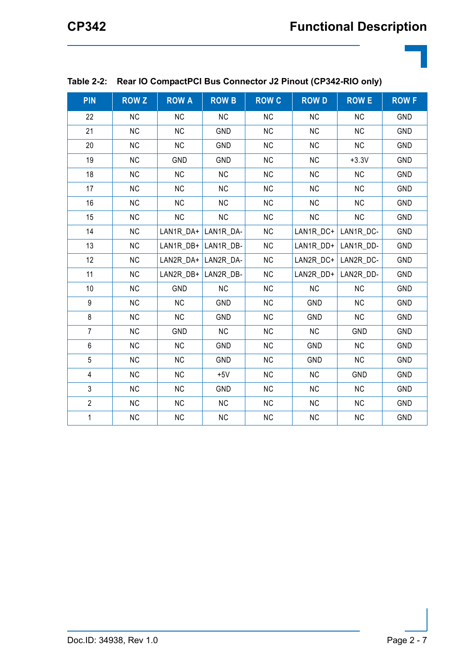

#### <span id="page-34-0"></span>**Table 2-2: Rear IO CompactPCI Bus Connector J2 Pinout (CP342-RIO only)**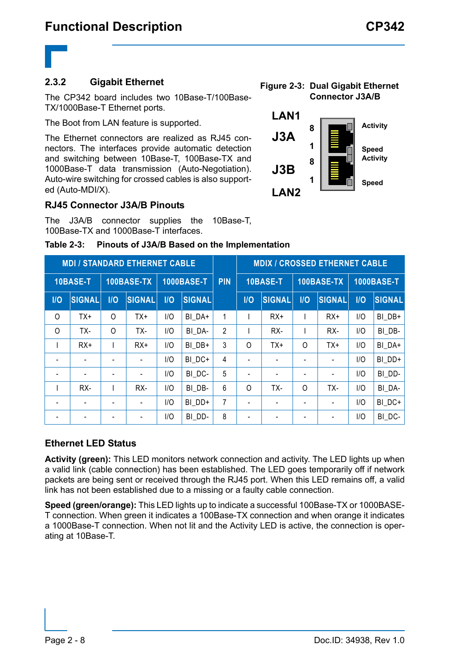#### <span id="page-35-0"></span>**2.3.2 Gigabit Ethernet**

The CP342 board includes two 10Base-T/100Base-TX/1000Base-T Ethernet ports.

The Boot from LAN feature is supported.

The Ethernet connectors are realized as RJ45 connectors. The interfaces provide automatic detection and switching between 10Base-T, 100Base-TX and 1000Base-T data transmission (Auto-Negotiation). Auto-wire switching for crossed cables is also supported (Auto-MDI/X).

#### **RJ45 Connector J3A/B Pinouts**

The J3A/B connector supplies the 10Base-T, 100Base-TX and 1000Base-T interfaces.



<span id="page-35-2"></span>**Figure 2-3: Dual Gigabit Ethernet** 

<span id="page-35-1"></span>

|  | Table 2-3: Pinouts of J3A/B Based on the Implementation |
|--|---------------------------------------------------------|
|--|---------------------------------------------------------|

| <b>MDI / STANDARD ETHERNET CABLE</b> |                          |          |               |                   |               | <b>MDIX / CROSSED ETHERNET CABLE</b> |          |               |          |               |     |               |  |                   |
|--------------------------------------|--------------------------|----------|---------------|-------------------|---------------|--------------------------------------|----------|---------------|----------|---------------|-----|---------------|--|-------------------|
|                                      | 10BASE-T                 |          | 100BASE-TX    | <b>1000BASE-T</b> |               |                                      |          | <b>PIN</b>    |          | 10BASE-T      |     | 100BASE-TX    |  | <b>1000BASE-T</b> |
| I/O                                  | <b>SIGNAL</b>            | I/O      | <b>SIGNAL</b> | I/O               | <b>SIGNAL</b> |                                      | I/O      | <b>SIGNAL</b> | I/O      | <b>SIGNAL</b> | I/O | <b>SIGNAL</b> |  |                   |
| $\Omega$                             | $TX+$                    | $\Omega$ | $TX+$         | I/O               | BI DA+        | 1                                    |          | $RX+$         |          | $RX+$         | I/O | BI DB+        |  |                   |
| O                                    | TX-                      | O        | TX-           | I/O               | BI DA-        | $\overline{2}$                       |          | RX-           |          | RX-           | I/O | BI DB-        |  |                   |
|                                      | $RX+$                    |          | $RX+$         | I/O               | BI DB+        | 3                                    | $\Omega$ | $TX+$         | $\circ$  | $TX+$         | I/O | BI DA+        |  |                   |
|                                      |                          |          |               | I/O               | BI DC+        | 4                                    |          |               |          |               | I/O | BI DD+        |  |                   |
|                                      | $\overline{\phantom{a}}$ |          |               | I/O               | BI DC-        | 5                                    |          |               |          |               | I/O | BI DD-        |  |                   |
|                                      | RX-                      |          | RX-           | I/O               | BI DB-        | 6                                    | $\Omega$ | TX-           | $\Omega$ | TX-           | I/O | BI_DA-        |  |                   |
|                                      |                          |          |               | I/O               | BI DD+        | 7                                    |          |               |          |               | I/O | BI DC+        |  |                   |
|                                      |                          |          |               | I/O               | BI DD-        | 8                                    |          |               |          |               | I/O | BI DC-        |  |                   |

#### **Ethernet LED Status**

**Activity (green):** This LED monitors network connection and activity. The LED lights up when a valid link (cable connection) has been established. The LED goes temporarily off if network packets are being sent or received through the RJ45 port. When this LED remains off, a valid link has not been established due to a missing or a faulty cable connection.

**Speed (green/orange):** This LED lights up to indicate a successful 100Base-TX or 1000BASE-T connection. When green it indicates a 100Base-TX connection and when orange it indicates a 1000Base-T connection. When not lit and the Activity LED is active, the connection is operating at 10Base-T.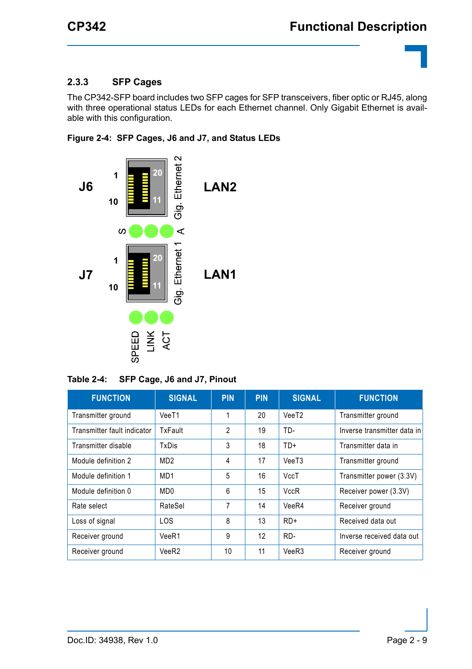

#### <span id="page-36-0"></span>**2.3.3 SFP Cages**

The CP342-SFP board includes two SFP cages for SFP transceivers, fiber optic or RJ45, along with three operational status LEDs for each Ethernet channel. Only Gigabit Ethernet is available with this configuration.

<span id="page-36-2"></span>



<span id="page-36-1"></span>**Table 2-4: SFP Cage, J6 and J7, Pinout**

| <b>FUNCTION</b>             | <b>SIGNAL</b>   | <b>PIN</b> | <b>PIN</b> | <b>SIGNAL</b>     | <b>FUNCTION</b>             |
|-----------------------------|-----------------|------------|------------|-------------------|-----------------------------|
| Transmitter ground          | VeeT1           |            | 20         | VeeT <sub>2</sub> | Transmitter ground          |
| Transmitter fault indicator | TxFault         | 2          | 19         | TD-               | Inverse transmitter data in |
| Transmitter disable         | TxDis           | 3          | 18         | $TD+$             | Transmitter data in         |
| Module definition 2         | MD <sub>2</sub> | 4          | 17         | VeeT3             | Transmitter ground          |
| Module definition 1         | MD <sub>1</sub> | 5          | 16         | VccT              | Transmitter power (3.3V)    |
| Module definition 0         | MD <sub>0</sub> | 6          | 15         | <b>VccR</b>       | Receiver power (3.3V)       |
| Rate select                 | RateSel         | 7          | 14         | VeeR4             | Receiver ground             |
| Loss of signal              | LOS             | 8          | 13         | $RD+$             | Received data out           |
| Receiver ground             | VeeR1           | 9          | 12         | RD-               | Inverse received data out   |
| Receiver ground             | VeeR2           | 10         | 11         | VeeR3             | Receiver ground             |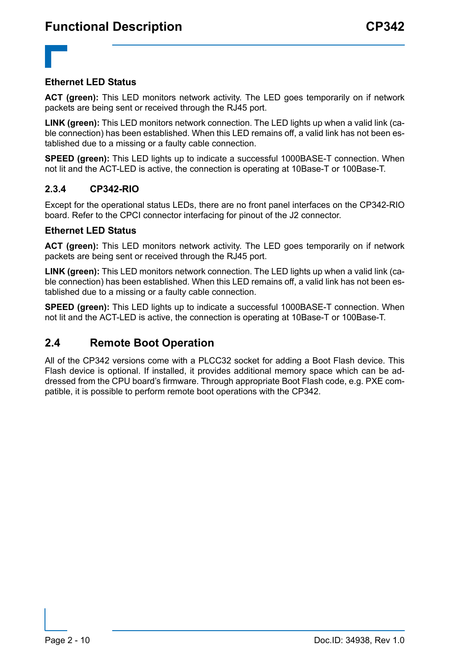

#### **Ethernet LED Status**

**ACT (green):** This LED monitors network activity. The LED goes temporarily on if network packets are being sent or received through the RJ45 port.

**LINK (green):** This LED monitors network connection. The LED lights up when a valid link (cable connection) has been established. When this LED remains off, a valid link has not been established due to a missing or a faulty cable connection.

**SPEED (green):** This LED lights up to indicate a successful 1000BASE-T connection. When not lit and the ACT-LED is active, the connection is operating at 10Base-T or 100Base-T.

#### <span id="page-37-0"></span>**2.3.4 CP342-RIO**

Except for the operational status LEDs, there are no front panel interfaces on the CP342-RIO board. Refer to the CPCI connector interfacing for pinout of the J2 connector.

#### **Ethernet LED Status**

**ACT (green):** This LED monitors network activity. The LED goes temporarily on if network packets are being sent or received through the RJ45 port.

**LINK (green):** This LED monitors network connection. The LED lights up when a valid link (cable connection) has been established. When this LED remains off, a valid link has not been established due to a missing or a faulty cable connection.

**SPEED (green):** This LED lights up to indicate a successful 1000BASE-T connection. When not lit and the ACT-LED is active, the connection is operating at 10Base-T or 100Base-T.

#### <span id="page-37-1"></span>**2.4 Remote Boot Operation**

All of the CP342 versions come with a PLCC32 socket for adding a Boot Flash device. This Flash device is optional. If installed, it provides additional memory space which can be addressed from the CPU boardís firmware. Through appropriate Boot Flash code, e.g. PXE compatible, it is possible to perform remote boot operations with the CP342.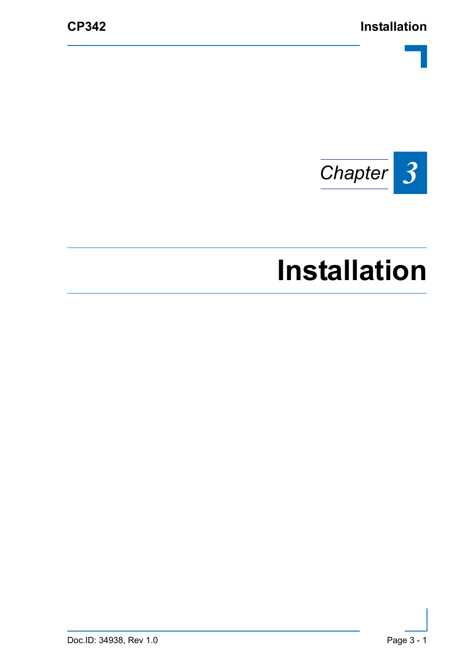

# **Installation**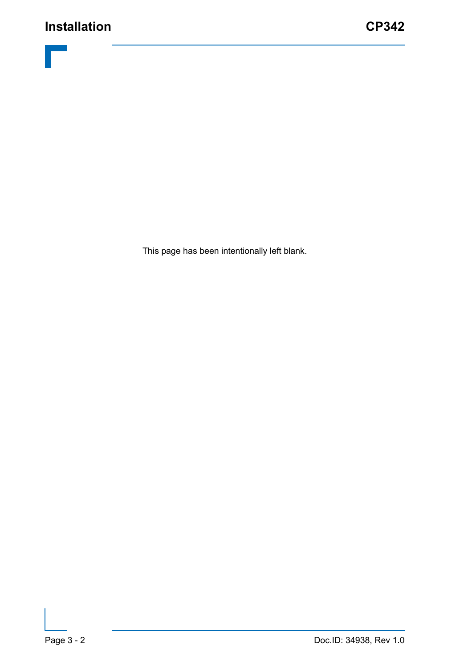# **Installation CP342**



This page has been intentionally left blank.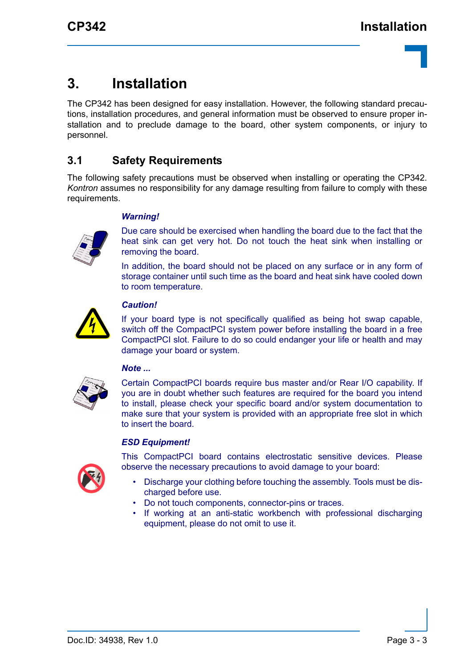# <span id="page-40-0"></span>**3. Installation**

The CP342 has been designed for easy installation. However, the following standard precautions, installation procedures, and general information must be observed to ensure proper installation and to preclude damage to the board, other system components, or injury to personnel.

### <span id="page-40-1"></span>**3.1 Safety Requirements**

The following safety precautions must be observed when installing or operating the CP342. *Kontron* assumes no responsibility for any damage resulting from failure to comply with these requirements.

#### *Warning!*



Due care should be exercised when handling the board due to the fact that the heat sink can get very hot. Do not touch the heat sink when installing or removing the board.

In addition, the board should not be placed on any surface or in any form of storage container until such time as the board and heat sink have cooled down to room temperature.



#### *Caution!*

If your board type is not specifically qualified as being hot swap capable, switch off the CompactPCI system power before installing the board in a free CompactPCI slot. Failure to do so could endanger your life or health and may damage your board or system.

#### *Note ...*



Certain CompactPCI boards require bus master and/or Rear I/O capability. If you are in doubt whether such features are required for the board you intend to install, please check your specific board and/or system documentation to make sure that your system is provided with an appropriate free slot in which to insert the board.

#### *ESD Equipment!*



This CompactPCI board contains electrostatic sensitive devices. Please observe the necessary precautions to avoid damage to your board:

- Discharge your clothing before touching the assembly. Tools must be discharged before use.
- Do not touch components, connector-pins or traces.
- If working at an anti-static workbench with professional discharging equipment, please do not omit to use it.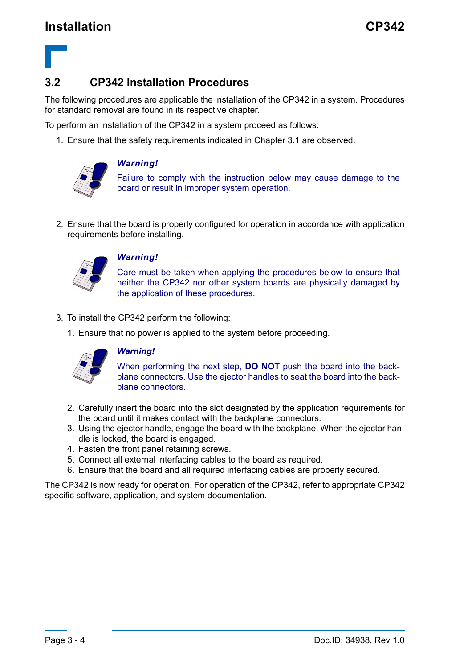## <span id="page-41-0"></span>**3.2 CP342 Installation Procedures**

The following procedures are applicable the installation of the CP342 in a system. Procedures for standard removal are found in its respective chapter.

To perform an installation of the CP342 in a system proceed as follows:

1. Ensure that the safety requirements indicated in Chapter 3.1 are observed.



#### *Warning!*

Failure to comply with the instruction below may cause damage to the board or result in improper system operation.

2. Ensure that the board is properly configured for operation in accordance with application requirements before installing.



#### *Warning!*

Care must be taken when applying the procedures below to ensure that neither the CP342 nor other system boards are physically damaged by the application of these procedures.

- 3. To install the CP342 perform the following:
	- 1. Ensure that no power is applied to the system before proceeding.



#### *Warning!*

When performing the next step, **DO NOT** push the board into the backplane connectors. Use the ejector handles to seat the board into the backplane connectors.

- 2. Carefully insert the board into the slot designated by the application requirements for the board until it makes contact with the backplane connectors.
- 3. Using the ejector handle, engage the board with the backplane. When the ejector handle is locked, the board is engaged.
- 4. Fasten the front panel retaining screws.
- 5. Connect all external interfacing cables to the board as required.
- 6. Ensure that the board and all required interfacing cables are properly secured.

The CP342 is now ready for operation. For operation of the CP342, refer to appropriate CP342 specific software, application, and system documentation.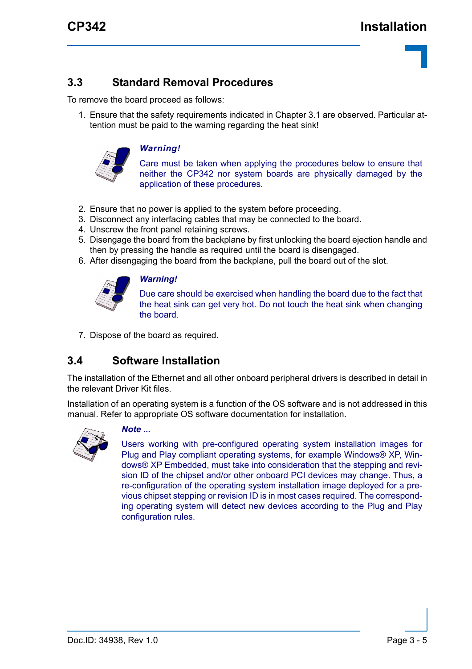#### <span id="page-42-0"></span>**3.3 Standard Removal Procedures**

To remove the board proceed as follows:

1. Ensure that the safety requirements indicated in Chapter 3.1 are observed. Particular attention must be paid to the warning regarding the heat sink!



#### *Warning!*

Care must be taken when applying the procedures below to ensure that neither the CP342 nor system boards are physically damaged by the application of these procedures.

- 2. Ensure that no power is applied to the system before proceeding.
- 3. Disconnect any interfacing cables that may be connected to the board.
- 4. Unscrew the front panel retaining screws.
- 5. Disengage the board from the backplane by first unlocking the board ejection handle and then by pressing the handle as required until the board is disengaged.
- 6. After disengaging the board from the backplane, pull the board out of the slot.



#### *Warning!*

Due care should be exercised when handling the board due to the fact that the heat sink can get very hot. Do not touch the heat sink when changing the board.

7. Dispose of the board as required.

#### <span id="page-42-1"></span>**3.4 Software Installation**

The installation of the Ethernet and all other onboard peripheral drivers is described in detail in the relevant Driver Kit files.

Installation of an operating system is a function of the OS software and is not addressed in this manual. Refer to appropriate OS software documentation for installation.



#### *Note ...*

Users working with pre-configured operating system installation images for Plug and Play compliant operating systems, for example Windows® XP, WindowsÆ XP Embedded, must take into consideration that the stepping and revision ID of the chipset and/or other onboard PCI devices may change. Thus, a re-configuration of the operating system installation image deployed for a previous chipset stepping or revision ID is in most cases required. The corresponding operating system will detect new devices according to the Plug and Play configuration rules.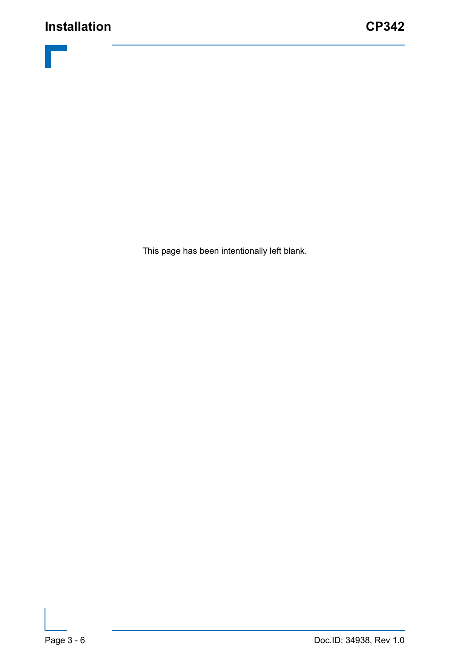# **Installation CP342**



This page has been intentionally left blank.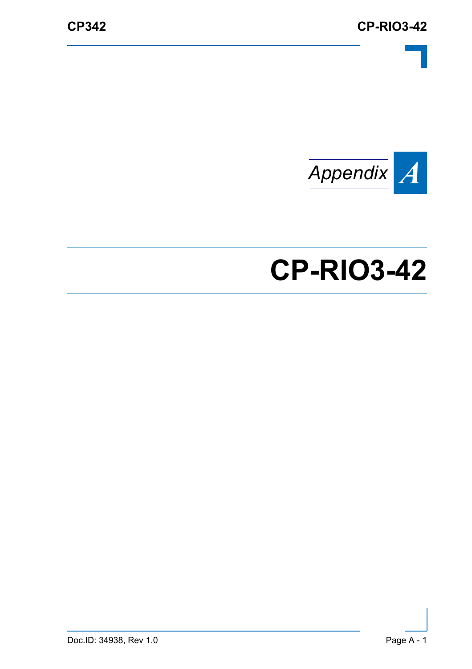

# **CP-RIO3-42**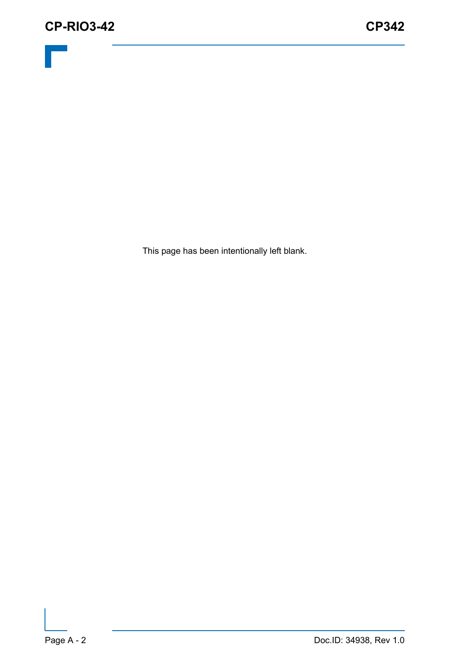

This page has been intentionally left blank.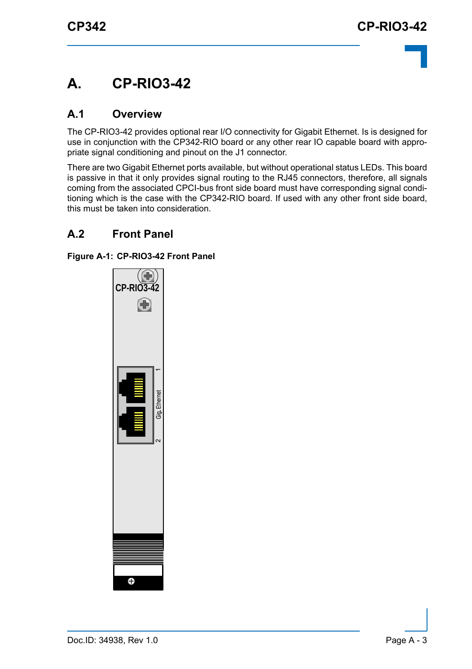# <span id="page-46-0"></span>**A. CP-RIO3-42**

# <span id="page-46-1"></span>**A.1 Overview**

The CP-RIO3-42 provides optional rear I/O connectivity for Gigabit Ethernet. Is is designed for use in conjunction with the CP342-RIO board or any other rear IO capable board with appropriate signal conditioning and pinout on the J1 connector.

There are two Gigabit Ethernet ports available, but without operational status LEDs. This board is passive in that it only provides signal routing to the RJ45 connectors, therefore, all signals coming from the associated CPCI-bus front side board must have corresponding signal conditioning which is the case with the CP342-RIO board. If used with any other front side board, this must be taken into consideration.

## <span id="page-46-2"></span>**A.2 Front Panel**

<span id="page-46-3"></span>**Figure A-1: CP-RIO3-42 Front Panel**

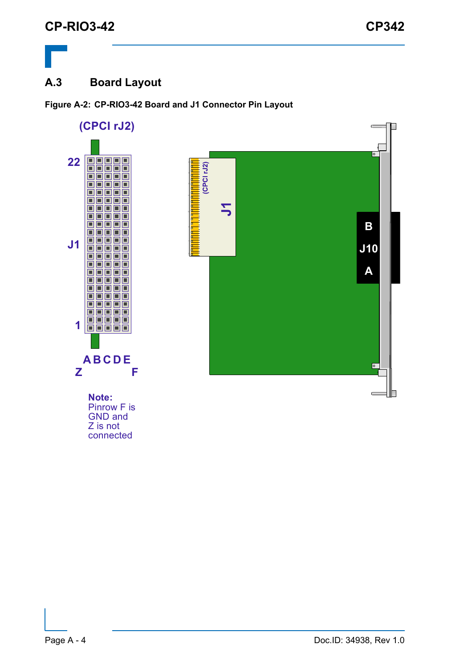# <span id="page-47-0"></span>**A.3 Board Layout**

#### <span id="page-47-1"></span>**Figure A-2: CP-RIO3-42 Board and J1 Connector Pin Layout**

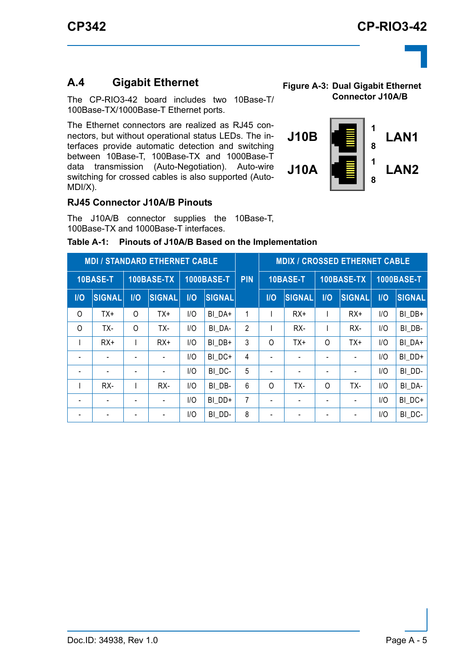## <span id="page-48-0"></span>**A.4 Gigabit Ethernet**

The CP-RIO3-42 board includes two 10Base-T/ 100Base-TX/1000Base-T Ethernet ports.

The Ethernet connectors are realized as RJ45 connectors, but without operational status LEDs. The interfaces provide automatic detection and switching between 10Base-T, 100Base-TX and 1000Base-T data transmission (Auto-Negotiation). Auto-wire switching for crossed cables is also supported (Auto-MDI/X).

#### **RJ45 Connector J10A/B Pinouts**

The J10A/B connector supplies the 10Base-T, 100Base-TX and 1000Base-T interfaces.



<span id="page-48-2"></span>**Figure A-3: Dual Gigabit Ethernet** 

**Connector J10A/B**

| <b>MDI / STANDARD ETHERNET CABLE</b> |               |                          |                          |            |               |                | <b>MDIX / CROSSED ETHERNET CABLE</b> |                          |                          |               |     |               |  |                   |
|--------------------------------------|---------------|--------------------------|--------------------------|------------|---------------|----------------|--------------------------------------|--------------------------|--------------------------|---------------|-----|---------------|--|-------------------|
|                                      | 10BASE-T      |                          | 100BASE-TX               | 1000BASE-T |               |                |                                      | <b>PIN</b>               |                          | 10BASE-T      |     | 100BASE-TX    |  | <b>1000BASE-T</b> |
| I/O                                  | <b>SIGNAL</b> | I/O                      | <b>SIGNAL</b>            | I/O        | <b>SIGNAL</b> |                | I/O                                  | <b>SIGNAL</b>            | I/O                      | <b>SIGNAL</b> | I/O | <b>SIGNAL</b> |  |                   |
| $\Omega$                             | $TX+$         | O                        | $TX+$                    | I/O        | BI DA+        | 1              |                                      | $RX+$                    |                          | $RX+$         | I/O | BI DB+        |  |                   |
| $\circ$                              | TX-           | $\circ$                  | TX-                      | I/O        | BI DA-        | $\overline{2}$ |                                      | RX-                      |                          | RX-           | I/O | BI DB-        |  |                   |
|                                      | $RX+$         |                          | $RX+$                    | I/O        | BI DB+        | 3              | $\Omega$                             | $TX+$                    | O                        | $TX+$         | I/O | BI DA+        |  |                   |
|                                      |               | $\overline{\phantom{a}}$ | $\blacksquare$           | I/O        | BI DC+        | 4              | $\overline{\phantom{a}}$             | $\overline{\phantom{a}}$ | $\overline{\phantom{a}}$ |               | I/O | BI DD+        |  |                   |
|                                      |               | $\blacksquare$           | $\overline{\phantom{a}}$ | I/O        | BI DC-        | 5              | $\overline{\phantom{a}}$             | $\overline{\phantom{a}}$ | $\overline{\phantom{a}}$ |               | I/O | BI DD-        |  |                   |
|                                      | RX-           |                          | RX-                      | I/O        | BI DB-        | 6              | O                                    | TX-                      | O                        | TX-           | I/O | BI DA-        |  |                   |
|                                      |               | $\overline{\phantom{a}}$ | $\blacksquare$           | I/O        | BI DD+        | $\overline{7}$ | $\overline{\phantom{a}}$             | $\overline{\phantom{0}}$ | $\overline{\phantom{0}}$ |               | I/O | BI DC+        |  |                   |
|                                      |               | $\blacksquare$           | -                        | I/O        | BI_DD-        | 8              | $\overline{\phantom{a}}$             | $\overline{\phantom{a}}$ | $\overline{\phantom{0}}$ |               | I/O | BI DC-        |  |                   |

#### <span id="page-48-1"></span>**Table A-1: Pinouts of J10A/B Based on the Implementation**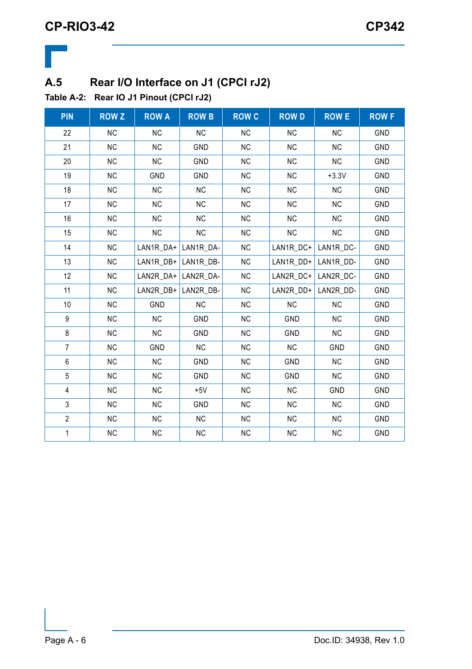

# <span id="page-49-0"></span>**A.5 Rear I/O Interface on J1 (CPCI rJ2)**

<span id="page-49-1"></span>**Table A-2: Rear IO J1 Pinout (CPCI rJ2)**

| <b>PIN</b>     | <b>ROW Z</b> | <b>ROW A</b> | <b>ROW B</b> | <b>ROW C</b> | <b>ROWD</b> | <b>ROW E</b> | <b>ROWF</b> |
|----------------|--------------|--------------|--------------|--------------|-------------|--------------|-------------|
| 22             | <b>NC</b>    | <b>NC</b>    | NC           | <b>NC</b>    | <b>NC</b>   | <b>NC</b>    | GND         |
| 21             | <b>NC</b>    | <b>NC</b>    | GND          | <b>NC</b>    | <b>NC</b>   | <b>NC</b>    | <b>GND</b>  |
| 20             | <b>NC</b>    | NC           | GND          | NC           | NC          | NC           | GND         |
| 19             | <b>NC</b>    | <b>GND</b>   | <b>GND</b>   | <b>NC</b>    | <b>NC</b>   | $+3.3V$      | GND         |
| 18             | <b>NC</b>    | <b>NC</b>    | <b>NC</b>    | <b>NC</b>    | <b>NC</b>   | <b>NC</b>    | <b>GND</b>  |
| 17             | <b>NC</b>    | <b>NC</b>    | <b>NC</b>    | <b>NC</b>    | <b>NC</b>   | <b>NC</b>    | GND         |
| 16             | <b>NC</b>    | <b>NC</b>    | <b>NC</b>    | <b>NC</b>    | <b>NC</b>   | <b>NC</b>    | <b>GND</b>  |
| 15             | <b>NC</b>    | NC           | NC           | <b>NC</b>    | NC          | NC           | GND         |
| 14             | <b>NC</b>    | LAN1R_DA+    | LAN1R_DA-    | <b>NC</b>    | LAN1R_DC+   | LAN1R DC-    | <b>GND</b>  |
| 13             | NC           | LAN1R_DB+    | LAN1R_DB-    | NC           | LAN1R_DD+   | LAN1R DD-    | GND         |
| 12             | <b>NC</b>    | $LAN2R_DA+$  | LAN2R_DA-    | <b>NC</b>    | $LAN2R_DC+$ | LAN2R_DC-    | <b>GND</b>  |
| 11             | <b>NC</b>    | LAN2R DB+    | LAN2R DB-    | <b>NC</b>    | LAN2R DD+   | LAN2R DD-    | <b>GND</b>  |
| 10             | <b>NC</b>    | <b>GND</b>   | <b>NC</b>    | <b>NC</b>    | <b>NC</b>   | <b>NC</b>    | GND         |
| 9              | <b>NC</b>    | <b>NC</b>    | <b>GND</b>   | <b>NC</b>    | <b>GND</b>  | <b>NC</b>    | <b>GND</b>  |
| 8              | <b>NC</b>    | NC           | GND          | <b>NC</b>    | <b>GND</b>  | NC           | <b>GND</b>  |
| $\overline{7}$ | <b>NC</b>    | <b>GND</b>   | NC           | <b>NC</b>    | <b>NC</b>   | GND          | <b>GND</b>  |
| 6              | <b>NC</b>    | NC           | GND          | <b>NC</b>    | <b>GND</b>  | NC           | GND         |
| 5              | <b>NC</b>    | <b>NC</b>    | GND          | <b>NC</b>    | <b>GND</b>  | NC           | <b>GND</b>  |
| 4              | <b>NC</b>    | NC           | $+5V$        | <b>NC</b>    | <b>NC</b>   | <b>GND</b>   | <b>GND</b>  |
| 3              | <b>NC</b>    | <b>NC</b>    | <b>GND</b>   | <b>NC</b>    | <b>NC</b>   | <b>NC</b>    | GND         |
| $\overline{2}$ | <b>NC</b>    | NC           | NC           | NC           | NC          | NC           | <b>GND</b>  |
| 1              | <b>NC</b>    | NC           | ${\sf NC}$   | NC           | NC          | NC           | GND         |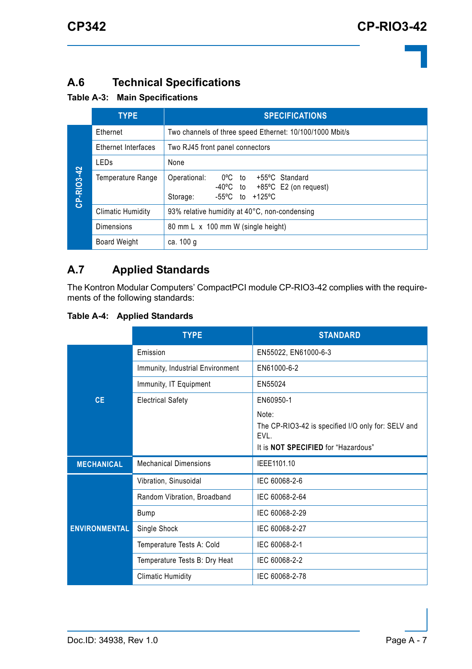# <span id="page-50-0"></span>**A.6 Technical Specifications**

#### <span id="page-50-2"></span>**Table A-3: Main Specifications**

|            | <b>TYPE</b>                | <b>SPECIFICATIONS</b>                                                                                                                   |  |  |  |  |  |  |  |
|------------|----------------------------|-----------------------------------------------------------------------------------------------------------------------------------------|--|--|--|--|--|--|--|
|            | Ethernet                   | Two channels of three speed Ethernet: 10/100/1000 Mbit/s                                                                                |  |  |  |  |  |  |  |
|            | <b>Ethernet Interfaces</b> | Two RJ45 front panel connectors                                                                                                         |  |  |  |  |  |  |  |
|            | <b>LEDs</b>                | None                                                                                                                                    |  |  |  |  |  |  |  |
| CP-RI03-42 | Temperature Range          | 0°C to +55°C Standard<br>Operational:<br>$-40^{\circ}$ C to $+85^{\circ}$ C E2 (on request)<br>-55°C to<br>$+125^{\circ}$ C<br>Storage: |  |  |  |  |  |  |  |
|            | <b>Climatic Humidity</b>   | 93% relative humidity at 40°C, non-condensing                                                                                           |  |  |  |  |  |  |  |
|            | Dimensions                 | 80 mm L x 100 mm W (single height)                                                                                                      |  |  |  |  |  |  |  |
|            | <b>Board Weight</b>        | ca. 100 g                                                                                                                               |  |  |  |  |  |  |  |

## <span id="page-50-1"></span>**A.7 Applied Standards**

The Kontron Modular Computers' CompactPCI module CP-RIO3-42 complies with the requirements of the following standards:

<span id="page-50-3"></span>

|  | Table A-4: Applied Standards |
|--|------------------------------|
|--|------------------------------|

|                      | <b>TYPE</b>                      | <b>STANDARD</b>                                            |  |  |
|----------------------|----------------------------------|------------------------------------------------------------|--|--|
|                      | Emission                         | EN55022, EN61000-6-3                                       |  |  |
|                      | Immunity, Industrial Environment | EN61000-6-2                                                |  |  |
|                      | Immunity, IT Equipment           | EN55024                                                    |  |  |
| <b>CE</b>            | <b>Electrical Safety</b>         | EN60950-1                                                  |  |  |
|                      |                                  | Note:                                                      |  |  |
|                      |                                  | The CP-RIO3-42 is specified I/O only for: SELV and<br>EVL. |  |  |
|                      |                                  | It is NOT SPECIFIED for "Hazardous"                        |  |  |
| <b>MECHANICAL</b>    | <b>Mechanical Dimensions</b>     | IEEE1101.10                                                |  |  |
|                      | Vibration, Sinusoidal            | IEC 60068-2-6                                              |  |  |
| <b>ENVIRONMENTAL</b> | Random Vibration, Broadband      | IEC 60068-2-64                                             |  |  |
|                      | <b>Bump</b>                      | IEC 60068-2-29                                             |  |  |
|                      | Single Shock                     | IEC 60068-2-27                                             |  |  |
|                      | Temperature Tests A: Cold        | IEC 60068-2-1                                              |  |  |
|                      | Temperature Tests B: Dry Heat    | IEC 60068-2-2                                              |  |  |
|                      | <b>Climatic Humidity</b>         | IEC 60068-2-78                                             |  |  |